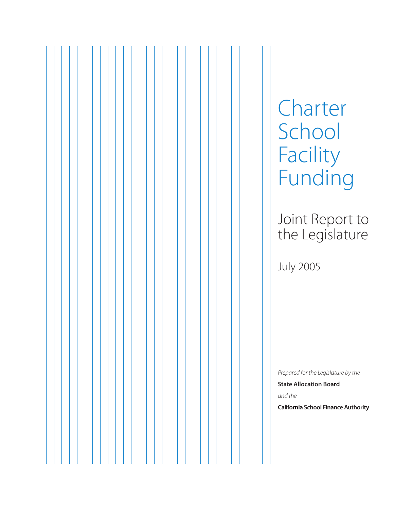

Charter School Facility Funding

# Joint Report to the Legislature

July 2005

Prepared for the Legislature by the

**State Allocation Board** and the

**California School Finance Authority**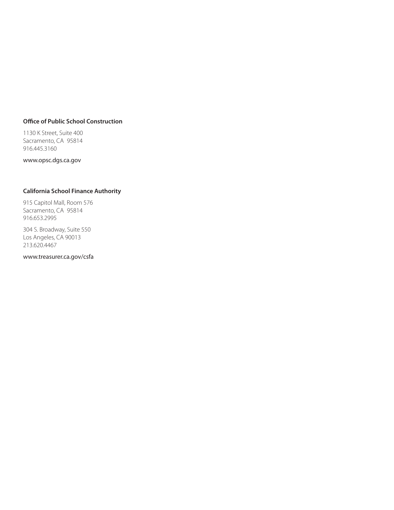## **Office of Public School Construction**

1130 K Street, Suite 400 Sacramento, CA 95814 916.445.3160

www.opsc.dgs.ca.gov

## **California School Finance Authority**

915 Capitol Mall, Room 576 Sacramento, CA 95814 916.653.2995

304 S. Broadway, Suite 550 Los Angeles, CA 90013 213.620.4467

www.treasurer.ca.gov/csfa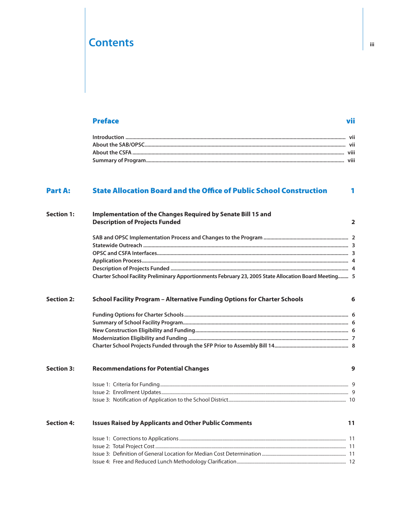# **Contents**

## **Preface**

#### **State Allocation Board and the Office of Public School Construction Part A:**  $\sim$  1

| <b>Section 1:</b> | Implementation of the Changes Required by Senate Bill 15 and<br><b>Description of Projects Funded</b> | $\overline{2}$ |
|-------------------|-------------------------------------------------------------------------------------------------------|----------------|
|                   |                                                                                                       |                |
|                   |                                                                                                       |                |
|                   |                                                                                                       |                |
|                   |                                                                                                       |                |
|                   |                                                                                                       |                |
|                   | Charter School Facility Preliminary Apportionments February 23, 2005 State Allocation Board Meeting 5 |                |
| <b>Section 2:</b> | School Facility Program - Alternative Funding Options for Charter Schools                             | 6              |
|                   |                                                                                                       |                |
|                   |                                                                                                       |                |
|                   |                                                                                                       |                |
|                   |                                                                                                       |                |
|                   |                                                                                                       |                |
| <b>Section 3:</b> | <b>Recommendations for Potential Changes</b>                                                          | 9              |
|                   |                                                                                                       |                |
|                   |                                                                                                       |                |
|                   |                                                                                                       |                |
| <b>Section 4:</b> | <b>Issues Raised by Applicants and Other Public Comments</b>                                          | 11             |
|                   |                                                                                                       |                |
|                   |                                                                                                       |                |
|                   |                                                                                                       |                |
|                   |                                                                                                       |                |

vii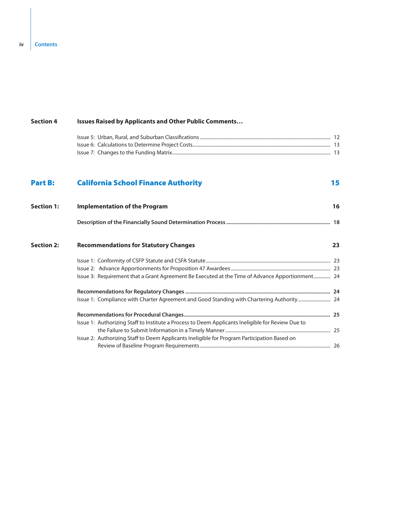## **Section 4 Issues Raised by Applicants and Other Public Comments…**

| <b>Part B:</b>    | <b>California School Finance Authority</b>                                                        | 15 |
|-------------------|---------------------------------------------------------------------------------------------------|----|
| <b>Section 1:</b> | <b>Implementation of the Program</b>                                                              | 16 |
|                   |                                                                                                   |    |
| <b>Section 2:</b> | <b>Recommendations for Statutory Changes</b>                                                      | 23 |
|                   |                                                                                                   |    |
|                   |                                                                                                   |    |
|                   | Issue 3: Requirement that a Grant Agreement Be Executed at the Time of Advance Apportionment 24   |    |
|                   |                                                                                                   |    |
|                   |                                                                                                   |    |
|                   |                                                                                                   |    |
|                   | Issue 1: Authorizing Staff to Institute a Process to Deem Applicants Ineligible for Review Due to |    |
|                   |                                                                                                   |    |
|                   | Issue 2: Authorizing Staff to Deem Applicants Ineligible for Program Participation Based on       |    |
|                   |                                                                                                   |    |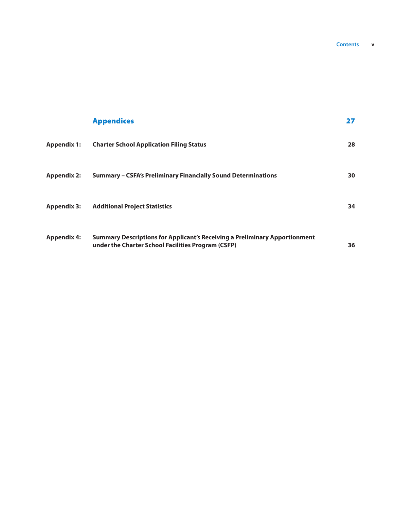|                    | <b>Appendices</b>                                                                                                                       | 27 |
|--------------------|-----------------------------------------------------------------------------------------------------------------------------------------|----|
| <b>Appendix 1:</b> | <b>Charter School Application Filing Status</b>                                                                                         | 28 |
| <b>Appendix 2:</b> | <b>Summary - CSFA's Preliminary Financially Sound Determinations</b>                                                                    | 30 |
| Appendix 3:        | <b>Additional Project Statistics</b>                                                                                                    | 34 |
| <b>Appendix 4:</b> | <b>Summary Descriptions for Applicant's Receiving a Preliminary Apportionment</b><br>under the Charter School Facilities Program (CSFP) | 36 |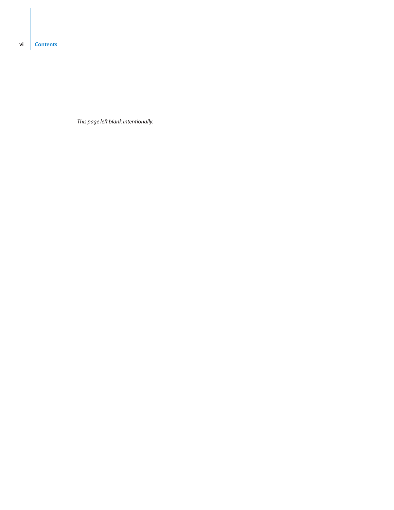This page left blank intentionally.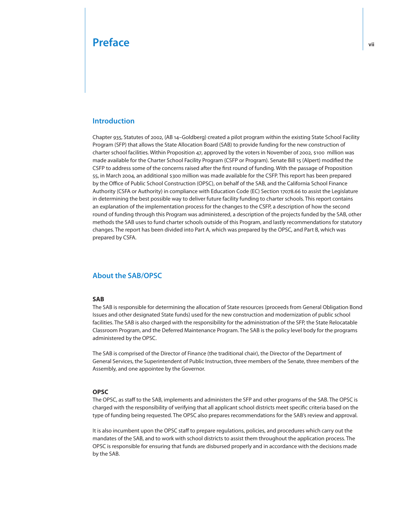# <span id="page-6-0"></span>**Preface** viii

## **Introduction**

Chapter 935, Statutes of 2002, (AB 14-Goldberg) created a pilot program within the existing State School Facility Program (SFP) that allows the State Allocation Board (SAB) to provide funding for the new construction of charter school facilities. Within Proposition 47, approved by the voters in November of 2002, \$100 million was made available for the Charter School Facility Program (CSFP or Program). Senate Bill (Alpert) modified the CSFP to address some of the concerns raised after the first round of funding. With the passage of Proposition 55, in March 2004, an additional \$300 million was made available for the CSFP. This report has been prepared by the Office of Public School Construction (OPSC), on behalf of the SAB, and the California School Finance Authority (CSFA or Authority) in compliance with Education Code (EC) Section 17078.66 to assist the Legislature in determining the best possible way to deliver future facility funding to charter schools. This report contains an explanation of the implementation process for the changes to the CSFP, a description of how the second round of funding through this Program was administered, a description of the projects funded by the SAB, other methods the SAB uses to fund charter schools outside of this Program, and lastly recommendations for statutory changes. The report has been divided into Part A, which was prepared by the OPSC, and Part B, which was prepared by CSFA.

## **About the SAB/OPSC**

#### **SAB**

The SAB is responsible for determining the allocation of State resources (proceeds from General Obligation Bond Issues and other designated State funds) used for the new construction and modernization of public school facilities. The SAB is also charged with the responsibility for the administration of the SFP, the State Relocatable Classroom Program, and the Deferred Maintenance Program. The SAB is the policy level body for the programs administered by the OPSC.

The SAB is comprised of the Director of Finance (the traditional chair), the Director of the Department of General Services, the Superintendent of Public Instruction, three members of the Senate, three members of the Assembly, and one appointee by the Governor.

#### **OPSC**

The OPSC, as staff to the SAB, implements and administers the SFP and other programs of the SAB. The OPSC is charged with the responsibility of verifying that all applicant school districts meet specific criteria based on the type of funding being requested. The OPSC also prepares recommendations for the SAB's review and approval.

It is also incumbent upon the OPSC staff to prepare regulations, policies, and procedures which carry out the mandates of the SAB, and to work with school districts to assist them throughout the application process. The OPSC is responsible for ensuring that funds are disbursed properly and in accordance with the decisions made by the SAB.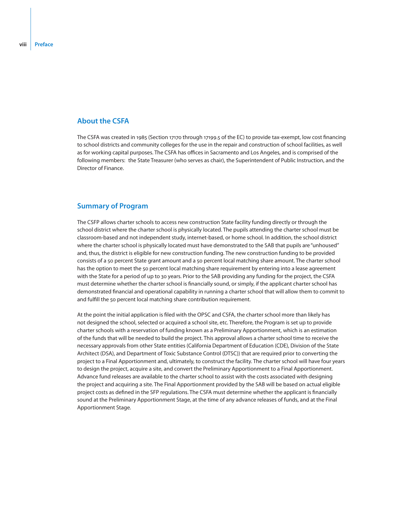## <span id="page-7-0"></span>**About the CSFA**

The CSFA was created in 1985 (Section 17170 through 17199.5 of the EC) to provide tax-exempt, low cost financing to school districts and community colleges for the use in the repair and construction of school facilities, as well as for working capital purposes. The CSFA has offices in Sacramento and Los Angeles, and is comprised of the following members: the State Treasurer (who serves as chair), the Superintendent of Public Instruction, and the Director of Finance.

## **Summary of Program**

The CSFP allows charter schools to access new construction State facility funding directly or through the school district where the charter school is physically located. The pupils attending the charter school must be classroom-based and not independent study, internet-based, or home school. In addition, the school district where the charter school is physically located must have demonstrated to the SAB that pupils are "unhoused" and, thus, the district is eligible for new construction funding. The new construction funding to be provided consists of a 50 percent State grant amount and a 50 percent local matching share amount. The charter school has the option to meet the 50 percent local matching share requirement by entering into a lease agreement with the State for a period of up to 30 years. Prior to the SAB providing any funding for the project, the CSFA must determine whether the charter school is financially sound, or simply, if the applicant charter school has demonstrated financial and operational capability in running a charter school that will allow them to commit to and fulfill the 50 percent local matching share contribution requirement.

At the point the initial application is filed with the OPSC and CSFA, the charter school more than likely has not designed the school, selected or acquired a school site, etc. Therefore, the Program is set up to provide charter schools with a reservation of funding known as a Preliminary Apportionment, which is an estimation of the funds that will be needed to build the project. This approval allows a charter school time to receive the necessary approvals from other State entities (California Department of Education (CDE), Division of the State Architect (DSA), and Department of Toxic Substance Control (DTSC)) that are required prior to converting the project to a Final Apportionment and, ultimately, to construct the facility. The charter school will have four years to design the project, acquire a site, and convert the Preliminary Apportionment to a Final Apportionment. Advance fund releases are available to the charter school to assist with the costs associated with designing the project and acquiring a site. The Final Apportionment provided by the SAB will be based on actual eligible project costs as defined in the SFP regulations. The CSFA must determine whether the applicant is financially sound at the Preliminary Apportionment Stage, at the time of any advance releases of funds, and at the Final Apportionment Stage.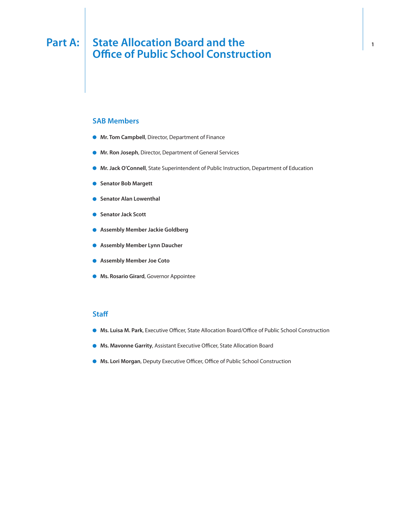# <span id="page-8-0"></span>**Part A:** State Allocation Board and the 11 12 **Office of Public School Construction**

## **SAB Members**

- **Mr. Tom Campbell**, Director, Department of Finance
- **Mr. Ron Joseph**, Director, Department of General Services
- **Mr. Jack O'Connell**, State Superintendent of Public Instruction, Department of Education
- **Senator Bob Margett**
- **Senator Alan Lowenthal**
- **Senator Jack Scott**
- **Assembly Member Jackie Goldberg**
- **Assembly Member Lynn Daucher**
- **Assembly Member Joe Coto**
- **Ms. Rosario Girard**, Governor Appointee

## **Staff**

- **Ms. Luisa M. Park**, Executive Officer, State Allocation Board/Office of Public School Construction
- **Ms. Mavonne Garrity**, Assistant Executive Officer, State Allocation Board
- **Ms. Lori Morgan**, Deputy Executive Officer, Office of Public School Construction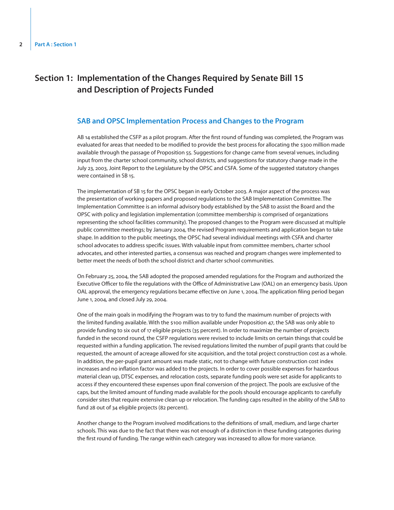## <span id="page-9-0"></span>**Section 1: Implementation of the Changes Required by Senate Bill 15 and Description of Projects Funded**

## **SAB and OPSC Implementation Process and Changes to the Program**

AB 14 established the CSFP as a pilot program. After the first round of funding was completed, the Program was evaluated for areas that needed to be modified to provide the best process for allocating the \$300 million made available through the passage of Proposition 55. Suggestions for change came from several venues, including input from the charter school community, school districts, and suggestions for statutory change made in the July 23, 2003, Joint Report to the Legislature by the OPSC and CSFA. Some of the suggested statutory changes were contained in SB 15.

The implementation of SB 15 for the OPSC began in early October 2003. A major aspect of the process was the presentation of working papers and proposed regulations to the SAB Implementation Committee. The Implementation Committee is an informal advisory body established by the SAB to assist the Board and the OPSC with policy and legislation implementation (committee membership is comprised of organizations representing the school facilities community). The proposed changes to the Program were discussed at multiple public committee meetings; by January 2004, the revised Program requirements and application began to take shape. In addition to the public meetings, the OPSC had several individual meetings with CSFA and charter school advocates to address specific issues. With valuable input from committee members, charter school advocates, and other interested parties, a consensus was reached and program changes were implemented to better meet the needs of both the school district and charter school communities.

On February 25, 2004, the SAB adopted the proposed amended regulations for the Program and authorized the Executive Officer to file the regulations with the Office of Administrative Law (OAL) on an emergency basis. Upon OAL approval, the emergency regulations became effective on June 1, 2004. The application filing period began June 1, 2004, and closed July 29, 2004.

One of the main goals in modifying the Program was to try to fund the maximum number of projects with the limited funding available. With the  $\frac{1}{2}$  oo million available under Proposition 47, the SAB was only able to provide funding to six out of 17 eligible projects (35 percent). In order to maximize the number of projects funded in the second round, the CSFP regulations were revised to include limits on certain things that could be requested within a funding application. The revised regulations limited the number of pupil grants that could be requested, the amount of acreage allowed for site acquisition, and the total project construction cost as a whole. In addition, the per-pupil grant amount was made static, not to change with future construction cost index increases and no inflation factor was added to the projects. In order to cover possible expenses for hazardous material clean up, DTSC expenses, and relocation costs, separate funding pools were set aside for applicants to access if they encountered these expenses upon final conversion of the project. The pools are exclusive of the caps, but the limited amount of funding made available for the pools should encourage applicants to carefully consider sites that require extensive clean up or relocation. The funding caps resulted in the ability of the SAB to fund 28 out of 34 eligible projects (82 percent).

Another change to the Program involved modifications to the definitions of small, medium, and large charter schools. This was due to the fact that there was not enough of a distinction in these funding categories during the first round of funding. The range within each category was increased to allow for more variance.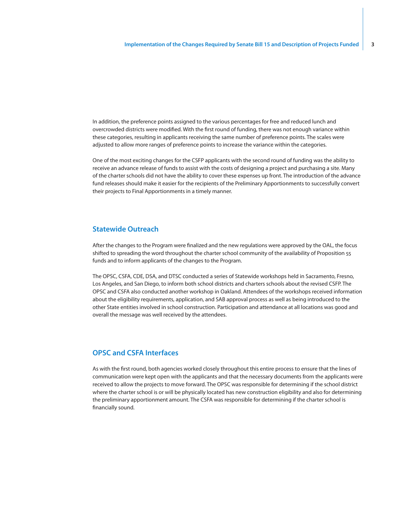<span id="page-10-0"></span>In addition, the preference points assigned to the various percentages for free and reduced lunch and overcrowded districts were modified. With the first round of funding, there was not enough variance within these categories, resulting in applicants receiving the same number of preference points. The scales were adjusted to allow more ranges of preference points to increase the variance within the categories.

One of the most exciting changes for the CSFP applicants with the second round of funding was the ability to receive an advance release of funds to assist with the costs of designing a project and purchasing a site. Many of the charter schools did not have the ability to cover these expenses up front. The introduction of the advance fund releases should make it easier for the recipients of the Preliminary Apportionments to successfully convert their projects to Final Apportionments in a timely manner.

## **Statewide Outreach**

After the changes to the Program were finalized and the new regulations were approved by the OAL, the focus shifted to spreading the word throughout the charter school community of the availability of Proposition 55 funds and to inform applicants of the changes to the Program.

The OPSC, CSFA, CDE, DSA, and DTSC conducted a series of Statewide workshops held in Sacramento, Fresno, Los Angeles, and San Diego, to inform both school districts and charters schools about the revised CSFP. The OPSC and CSFA also conducted another workshop in Oakland. Attendees of the workshops received information about the eligibility requirements, application, and SAB approval process as well as being introduced to the other State entities involved in school construction. Participation and attendance at all locations was good and overall the message was well received by the attendees.

## **OPSC and CSFA Interfaces**

As with the first round, both agencies worked closely throughout this entire process to ensure that the lines of communication were kept open with the applicants and that the necessary documents from the applicants were received to allow the projects to move forward. The OPSC was responsible for determining if the school district where the charter school is or will be physically located has new construction eligibility and also for determining the preliminary apportionment amount. The CSFA was responsible for determining if the charter school is financially sound.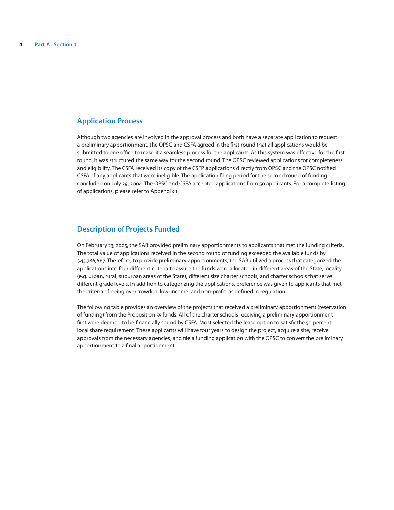## <span id="page-11-0"></span>**Application Process**

Although two agencies are involved in the approval process and both have a separate application to request a preliminary apportionment, the OPSC and CSFA agreed in the first round that all applications would be submitted to one office to make it a seamless process for the applicants. As this system was effective for the first round, it was structured the same way for the second round. The OPSC reviewed applications for completeness and eligibility. The CSFA received its copy of the CSFP applications directly from OPSC and the OPSC notified CSFA of any applicants that were ineligible. The application filing period for the second round of funding concluded on July 29, 2004. The OPSC and CSFA accepted applications from 50 applicants. For a complete listing of applications, please refer to Appendix 1.

## **Description of Projects Funded**

On February 23, 2005, the SAB provided preliminary apportionments to applicants that met the funding criteria. The total value of applications received in the second round of funding exceeded the available funds by \$43,786,667. Therefore, to provide preliminary apportionments, the SAB utilized a process that categorized the applications into four different criteria to assure the funds were allocated in different areas of the State, locality (e.g. urban, rural, suburban areas of the State), different size charter schools, and charter schools that serve different grade levels. In addition to categorizing the applications, preference was given to applicants that met the criteria of being overcrowded, low-income, and non-profit as defined in regulation.

The following table provides an overview of the projects that received a preliminary apportionment (reservation of funding) from the Proposition 55 funds. All of the charter schools receiving a preliminary apportionment first were deemed to be financially sound by CSFA. Most selected the lease option to satisfy the 50 percent local share requirement. These applicants will have four years to design the project, acquire a site, receive approvals from the necessary agencies, and file a funding application with the OPSC to convert the preliminary apportionment to a final apportionment.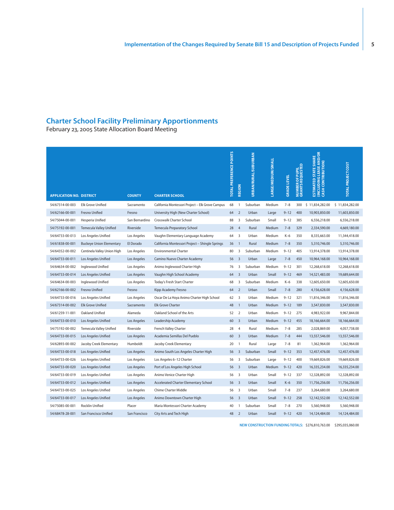## <span id="page-12-0"></span>**Charter School Facility Preliminary Apportionments**

February 23, 2005 State Allocation Board Meeting

| <b>APPLICATION NO. DISTRICT</b> |                                 | <b>COUNTY</b>  | <b>CHARTER SCHOOL</b>                            | <b>TOTAL PREFERENCE POINTS</b> | REGION                  | URBAN/RURAL/SUBURBAN | LARGE/MEDIUM/SMALL | <b>GRADE LEVEL</b> | NUMBER OF PUPIL<br>GRANTS REQUESTED | ESTIMATED STATE SHARE<br>(INCLUDING LEASE AND/OR<br>CASH CONTRIBUTION) | TOTAL PROJECT COST |  |
|---------------------------------|---------------------------------|----------------|--------------------------------------------------|--------------------------------|-------------------------|----------------------|--------------------|--------------------|-------------------------------------|------------------------------------------------------------------------|--------------------|--|
| 54/67314-00-003                 | Elk Grove Unified               | Sacramento     | California Montessori Project - Elk Grove Campus | 68                             | $\mathbf{1}$            | Suburban             | Medium             | $7 - 8$            | 300                                 | \$11,834,282.00                                                        | \$11,834,282.00    |  |
| 54/62166-00-001                 | <b>Fresno Unified</b>           | Fresno         | University High (New Charter School)             | 64                             | $\overline{2}$          | <b>Urban</b>         | Large              | $9 - 12$           | 400                                 | 10.903.850.00                                                          | 11,603,850.00      |  |
| 54/75044-00-001                 | Hesperia Unified                | San Bernardino | Crosswalk Charter School                         | 88                             | 3                       | Suburban             | Small              | $9 - 12$           | 385                                 | 6,556,218.00                                                           | 6,556,218.00       |  |
| 54/75192-00-001                 | Temecula Valley Unified         | Riverside      | <b>Temecula Preparatory School</b>               | 28                             | $\overline{4}$          | Rural                | Medium             | $7 - 8$            | 329                                 | 2,334,590.00                                                           | 4,669,180.00       |  |
| 54/64733-00-013                 | Los Angeles Unified             | Los Angeles    | Vaughn Elementary Language Academy               | 64                             | $\overline{\mathbf{3}}$ | Urban                | Medium             | $K-6$              | 350                                 | 8,335,663.00                                                           | 11,344,418.00      |  |
| 54/61838-00-001                 | <b>Buckeye Union Elementary</b> | El Dorado      | California Montessori Project - Shingle Springs  | 36                             | $\overline{1}$          | Rural                | Medium             | $7 - 8$            | 350                                 | 5,310,746.00                                                           | 5,310,746.00       |  |
| 54/64352-00-002                 | Centinela Valley Union High     | Los Angeles    | <b>Environmental Charter</b>                     | 80                             | 3                       | Suburban             | Medium             | $9 - 12$           | 405                                 | 13,914,378.00                                                          | 13,914,378.00      |  |
| 54/64733-00-011                 | Los Angeles Unified             | Los Angeles    | Camino Nuevo Charter Academy                     | 56                             | $\overline{\mathbf{3}}$ | <b>Urban</b>         | Large              | $7 - 8$            | 450                                 | 10,964,168.00                                                          | 10,964,168.00      |  |
| 54/64634-00-002                 | Inglewood Unified               | Los Angeles    | Animo Inglewood Charter High                     | 76                             | $\overline{3}$          | Suburban             | Medium             | $9 - 12$           | 301                                 | 12,268,618.00                                                          | 12,268,618.00      |  |
| 54/64733-00-014                 | Los Angeles Unified             | Los Angeles    | Vaughn High School Academy                       | 64                             | $\overline{\mathbf{3}}$ | Urban                | Small              | $9 - 12$           | 469                                 | 14,521,483.00                                                          | 19,689,644.00      |  |
| 54/64634-00-003                 | Inglewood Unified               | Los Angeles    | Today's Fresh Start Charter                      | 68                             | $\overline{\mathbf{3}}$ | Suburban             | Medium             | $K-6$              | 338                                 | 12,605,650.00                                                          | 12,605,650.00      |  |
| 54/62166-00-002                 | <b>Fresno Unified</b>           | Fresno         | Kipp Academy Fresno                              | 64                             | $\overline{2}$          | Urban                | Small              | $7 - 8$            | 280                                 | 4,156,628.00                                                           | 4,156,628.00       |  |
| 54/64733-00-016                 | Los Angeles Unified             | Los Angeles    | Oscar De La Hoya Animo Charter High School       | 62                             | $\overline{\mathbf{3}}$ | Urban                | Medium             | $9 - 12$           | 321                                 | 11,816,346.00                                                          | 11,816,346.00      |  |
| 54/67314-00-002                 | <b>Elk Grove Unified</b>        | Sacramento     | <b>Elk Grove Charter</b>                         | 48                             | $\overline{1}$          | Urban                | Medium             | $9 - 12$           | 189                                 | 3,547,830.00                                                           | 3,547,830.00       |  |
| 54/61259-11-001                 | Oakland Unified                 | Alameda        | Oakland School of the Arts                       | 52                             | $\overline{2}$          | Urban                | Medium             | $9 - 12$           | 275                                 | 4,983,922.00                                                           | 9,967,844.00       |  |
| 54/64733-00-010                 | Los Angeles Unified             | Los Angeles    | Leadership Academy                               | 60                             | $\overline{\mathbf{3}}$ | Urban                | Medium             | $9 - 12$           | 455                                 | 18,166,664.00                                                          | 18,166,664.00      |  |
| 54/75192-00-002                 | <b>Temecula Valley Unified</b>  | Riverside      | <b>French Valley Charter</b>                     | 28                             | $\overline{4}$          | Rural                | Medium             | $7 - 8$            | 285                                 | 2,028,869.00                                                           | 4,057,738.00       |  |
| 54/64733-00-015                 | Los Angeles Unified             | Los Angeles    | Academia Semillas Del Pueblo                     | 60                             | $\overline{\mathbf{3}}$ | Urban                | Medium             | $7 - 8$            | 444                                 | 13,557,546.00                                                          | 13,557,546.00      |  |
| 54/62893-00-002                 | Jacoby Creek Elementary         | Humboldt       | Jacoby Creek Elementary                          | 20                             | $\overline{1}$          | Rural                | Large              | $7 - 8$            | 81                                  | 1,362,964.00                                                           | 1,362,964.00       |  |
| 54/64733-00-018                 | Los Angeles Unified             | Los Angeles    | Animo South Los Angeles Charter High             | 56                             | $\overline{3}$          | Suburban             | Small              | $9 - 12$           | 353                                 | 12,457,476.00                                                          | 12,457,476.00      |  |
| 54/64733-00-026                 | Los Angeles Unified             | Los Angeles    | Los Angeles 6-12 Charter                         | 56                             | 3                       | Suburban             | Large              | $9 - 12$           | 400                                 | 19,669,826.00                                                          | 19,669,826.00      |  |
| 54/64733-00-020                 | Los Angeles Unified             | Los Angeles    | Port of Los Angeles High School                  | 56                             | $\overline{\mathbf{3}}$ | Urban                | Medium             | $9 - 12$           | 420                                 | 16,335,234.00                                                          | 16,335,234.00      |  |
| 54/64733-00-019                 | Los Angeles Unified             | Los Angeles    | Animo Venice Charter High                        | 56                             | $\overline{\mathbf{3}}$ | Urban                | Small              | $9 - 12$           | 337                                 | 12,328,892.00                                                          | 12,328,892.00      |  |
| 54/64733-00-012                 | Los Angeles Unified             | Los Angeles    | Accelerated Charter Elementary School            | 56                             | $\overline{\mathbf{3}}$ | <b>Urban</b>         | Small              | $K-6$              | 350                                 | 11,756,256.00                                                          | 11,756,256.00      |  |
| 54/64733-00-025                 | Los Angeles Unified             | Los Angeles    | <b>Chime Charter Middle</b>                      | 56                             | 3                       | Urban                | Small              | $7 - 8$            | 237                                 | 3,264,680.00                                                           | 3,264,680.00       |  |
| 54/64733-00-017                 | Los Angeles Unified             | Los Angeles    | Animo Downtown Charter High                      | 56                             | $\overline{\mathbf{3}}$ | Urban                | Small              | $9 - 12$           | 258                                 | 12,142,552.00                                                          | 12,142,552.00      |  |
| 54/75085-00-001                 | Rocklin Unified                 | Placer         | Maria Montessori Charter Academy                 | 40                             | -1                      | Suburban             | Small              | $7 - 8$            | 270                                 | 5,560,948.00                                                           | 5,560,948.00       |  |
| 54/68478-28-001                 | San Francisco Unified           | San Francisco  | City Arts and Tech High                          | 48                             | $\overline{2}$          | Urban                | Small              | $9 - 12$           | 420                                 | 14,124,484.00                                                          | 14,124,484.00      |  |

**NEW CONSTRUCTION FUNDING TOTALS: \$276,810,763.00 \$295,035,060.00**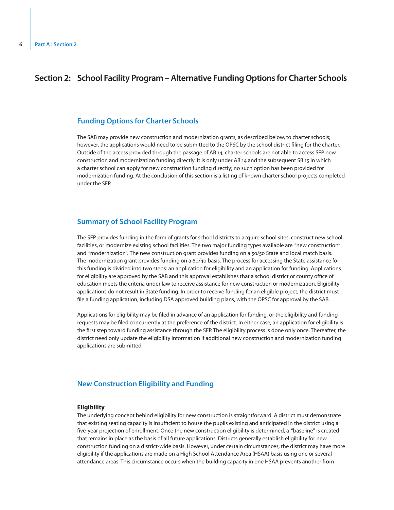## <span id="page-13-0"></span>**Section 2: School Facility Program – Alternative Funding Options for Charter Schools**

## **Funding Options for Charter Schools**

The SAB may provide new construction and modernization grants, as described below, to charter schools; however, the applications would need to be submitted to the OPSC by the school district filing for the charter. Outside of the access provided through the passage of AB 14, charter schools are not able to access SFP new construction and modernization funding directly. It is only under AB 14 and the subsequent SB 15 in which a charter school can apply for new construction funding directly; no such option has been provided for modernization funding. At the conclusion of this section is a listing of known charter school projects completed under the SFP.

## **Summary of School Facility Program**

The SFP provides funding in the form of grants for school districts to acquire school sites, construct new school facilities, or modernize existing school facilities. The two major funding types available are "new construction" and "modernization". The new construction grant provides funding on a 50/50 State and local match basis. The modernization grant provides funding on a 60/40 basis. The process for accessing the State assistance for this funding is divided into two steps: an application for eligibility and an application for funding. Applications for eligibility are approved by the SAB and this approval establishes that a school district or county office of education meets the criteria under law to receive assistance for new construction or modernization. Eligibility applications do not result in State funding. In order to receive funding for an eligible project, the district must file a funding application, including DSA approved building plans, with the OPSC for approval by the SAB.

Applications for eligibility may be filed in advance of an application for funding, or the eligibility and funding requests may be filed concurrently at the preference of the district. In either case, an application for eligibility is the first step toward funding assistance through the SFP. The eligibility process is done only once. Thereafter, the district need only update the eligibility information if additional new construction and modernization funding applications are submitted.

## **New Construction Eligibility and Funding**

#### **Eligibility**

The underlying concept behind eligibility for new construction is straightforward. A district must demonstrate that existing seating capacity is insufficient to house the pupils existing and anticipated in the district using a five-year projection of enrollment. Once the new construction eligibility is determined, a "baseline" is created that remains in place as the basis of all future applications. Districts generally establish eligibility for new construction funding on a district-wide basis. However, under certain circumstances, the district may have more eligibility if the applications are made on a High School Attendance Area (HSAA) basis using one or several attendance areas. This circumstance occurs when the building capacity in one HSAA prevents another from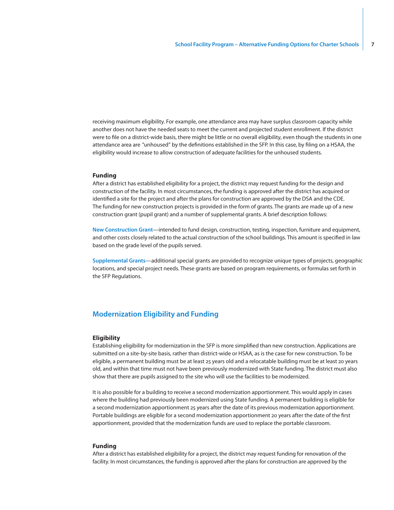<span id="page-14-0"></span>receiving maximum eligibility. For example, one attendance area may have surplus classroom capacity while another does not have the needed seats to meet the current and projected student enrollment. If the district were to file on a district-wide basis, there might be little or no overall eligibility, even though the students in one attendance area are "unhoused" by the definitions established in the SFP. In this case, by filing on a HSAA, the eligibility would increase to allow construction of adequate facilities for the unhoused students.

#### **Funding**

After a district has established eligibility for a project, the district may request funding for the design and construction of the facility. In most circumstances, the funding is approved after the district has acquired or identified a site for the project and after the plans for construction are approved by the DSA and the CDE. The funding for new construction projects is provided in the form of grants. The grants are made up of a new construction grant (pupil grant) and a number of supplemental grants. A brief description follows:

**New Construction Grant**—intended to fund design, construction, testing, inspection, furniture and equipment, and other costs closely related to the actual construction of the school buildings. This amount is specified in law based on the grade level of the pupils served.

**Supplemental Grants**—additional special grants are provided to recognize unique types of projects, geographic locations, and special project needs. These grants are based on program requirements, or formulas set forth in the SFP Regulations.

## **Modernization Eligibility and Funding**

#### **Eligibility**

Establishing eligibility for modernization in the SFP is more simplified than new construction. Applications are submitted on a site-by-site basis, rather than district-wide or HSAA, as is the case for new construction. To be eligible, a permanent building must be at least 25 years old and a relocatable building must be at least 20 years old, and within that time must not have been previously modernized with State funding. The district must also show that there are pupils assigned to the site who will use the facilities to be modernized.

It is also possible for a building to receive a second modernization apportionment. This would apply in cases where the building had previously been modernized using State funding. A permanent building is eligible for a second modernization apportionment 25 years after the date of its previous modernization apportionment. Portable buildings are eligible for a second modernization apportionment 20 years after the date of the first apportionment, provided that the modernization funds are used to replace the portable classroom.

#### **Funding**

After a district has established eligibility for a project, the district may request funding for renovation of the facility. In most circumstances, the funding is approved after the plans for construction are approved by the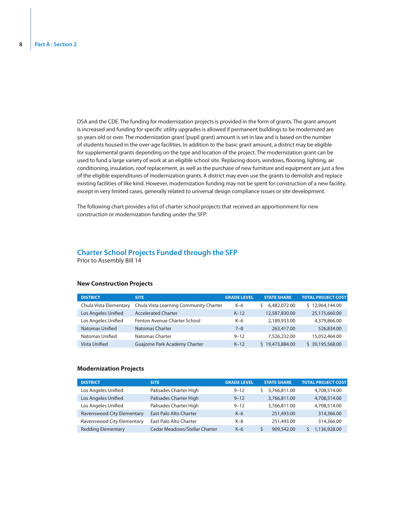<span id="page-15-0"></span>DSA and the CDE. The funding for modernization projects is provided in the form of grants. The grant amount is increased and funding for specific utility upgrades is allowed if permanent buildings to be modernized are 50 years old or over. The modernization grant (pupil grant) amount is set in law and is based on the number of students housed in the over-age facilities. In addition to the basic grant amount, a district may be eligible for supplemental grants depending on the type and location of the project. The modernization grant can be used to fund a large variety of work at an eligible school site. Replacing doors, windows, flooring, lighting, air conditioning, insulation, roof replacement, as well as the purchase of new furniture and equipment are just a few of the eligible expenditures of modernization grants. A district may even use the grants to demolish and replace existing facilities of like kind. However, modernization funding may not be spent for construction of a new facility, except in very limited cases, generally related to universal design compliance issues or site development.

The following chart provides a list of charter school projects that received an apportionment for new construction or modernization funding under the SFP:

## **Charter School Projects Funded through the SFP**

Prior to Assembly Bill 14

| <b>DISTRICT</b>        | <b>SITE</b>                            | <b>GRADE LEVEL</b> | <b>STATE SHARE</b> | <b>TOTAL PROJECT COST</b> |
|------------------------|----------------------------------------|--------------------|--------------------|---------------------------|
| Chula Vista Elementary | Chula Vista Learning Community Charter | $K-6$              | 6,482,072,00       | \$12,964,144.00           |
| Los Angeles Unified    | <b>Accelerated Charter</b>             | $K-12$             | 12,587,830.00      | 25,175,660.00             |
| Los Angeles Unified    | Fenton Avenue Charter School           | $K-6$              | 2,189,933,00       | 4,379,866.00              |
| <b>Natomas Unified</b> | <b>Natomas Charter</b>                 | $7 - 8$            | 263,417.00         | 526,834.00                |
| Natomas Unified        | Natomas Charter                        | $9 - 12$           | 7,526,232.00       | 15,052,464.00             |
| <b>Vista Unified</b>   | Guajome Park Academy Charter           | $K-12$             | \$19,473,884.00    | \$39,195,568.00           |

#### **New Construction Projects**

#### **Modernization Projects**

| <b>DISTRICT</b>            | <b>SITE</b>                          | <b>GRADE LEVEL</b> | <b>STATE SHARE</b> | <b>TOTAL PROJECT COST</b> |
|----------------------------|--------------------------------------|--------------------|--------------------|---------------------------|
| Los Angeles Unified        | Palisades Charter High               | $9 - 12$           | 3,766,811.00       | 4,708,514.00              |
| Los Angeles Unified        | Palisades Charter High               | $9 - 12$           | 3,766,811.00       | 4,708,514.00              |
| Los Angeles Unified        | Palisades Charter High               | $9 - 12$           | 3,766,811.00       | 4,708,514.00              |
| Ravenswood City Elementary | East Palo Alto Charter               | $K-6$              | 251,493.00         | 314,366.00                |
| Ravenswood City Elementary | East Palo Alto Charter               | $K-8$              | 251,493.00         | 314,366.00                |
| <b>Redding Elementary</b>  | <b>Cedar Meadows/Stellar Charter</b> | $K-6$              | 909,542.00         | 1,136,928.00              |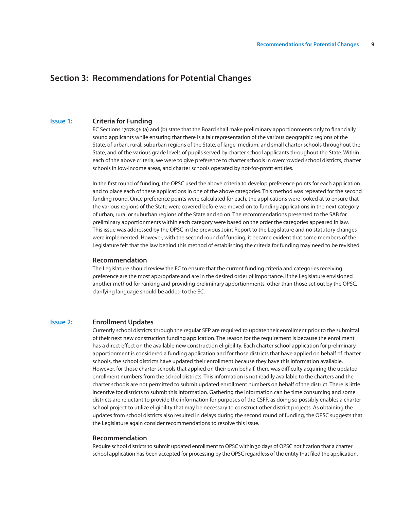## <span id="page-16-0"></span>**Section 3: Recommendations for Potential Changes**

### **Issue 1: Criteria for Funding**

EC Sections 17078.56 (a) and (b) state that the Board shall make preliminary apportionments only to financially sound applicants while ensuring that there is a fair representation of the various geographic regions of the State, of urban, rural, suburban regions of the State, of large, medium, and small charter schools throughout the State, and of the various grade levels of pupils served by charter school applicants throughout the State. Within each of the above criteria, we were to give preference to charter schools in overcrowded school districts, charter schools in low-income areas, and charter schools operated by not-for-profit entities.

In the first round of funding, the OPSC used the above criteria to develop preference points for each application and to place each of these applications in one of the above categories. This method was repeated for the second funding round. Once preference points were calculated for each, the applications were looked at to ensure that the various regions of the State were covered before we moved on to funding applications in the next category of urban, rural or suburban regions of the State and so on. The recommendations presented to the SAB for preliminary apportionments within each category were based on the order the categories appeared in law. This issue was addressed by the OPSC in the previous Joint Report to the Legislature and no statutory changes were implemented. However, with the second round of funding, it became evident that some members of the Legislature felt that the law behind this method of establishing the criteria for funding may need to be revisited.

#### **Recommendation**

The Legislature should review the EC to ensure that the current funding criteria and categories receiving preference are the most appropriate and are in the desired order of importance. If the Legislature envisioned another method for ranking and providing preliminary apportionments, other than those set out by the OPSC, clarifying language should be added to the EC.

## **Issue 2: Enrollment Updates**

Currently school districts through the regular SFP are required to update their enrollment prior to the submittal of their next new construction funding application. The reason for the requirement is because the enrollment has a direct effect on the available new construction eligibility. Each charter school application for preliminary apportionment is considered a funding application and for those districts that have applied on behalf of charter schools, the school districts have updated their enrollment because they have this information available. However, for those charter schools that applied on their own behalf, there was difficulty acquiring the updated enrollment numbers from the school districts. This information is not readily available to the charters and the charter schools are not permitted to submit updated enrollment numbers on behalf of the district. There is little incentive for districts to submit this information. Gathering the information can be time consuming and some districts are reluctant to provide the information for purposes of the CSFP, as doing so possibly enables a charter school project to utilize eligibility that may be necessary to construct other district projects. As obtaining the updates from school districts also resulted in delays during the second round of funding, the OPSC suggests that the Legislature again consider recommendations to resolve this issue.

#### **Recommendation**

Require school districts to submit updated enrollment to OPSC within 30 days of OPSC notification that a charter school application has been accepted for processing by the OPSC regardless of the entity that filed the application.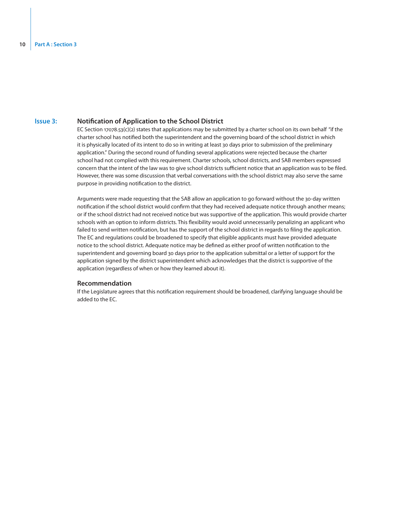## <span id="page-17-0"></span>**Issue 3: Notification of Application to the School District**

EC Section 17078.53(c)(2) states that applications may be submitted by a charter school on its own behalf "if the charter school has notified both the superintendent and the governing board of the school district in which it is physically located of its intent to do so in writing at least 30 days prior to submission of the preliminary application." During the second round of funding several applications were rejected because the charter school had not complied with this requirement. Charter schools, school districts, and SAB members expressed concern that the intent of the law was to give school districts sufficient notice that an application was to be filed. However, there was some discussion that verbal conversations with the school district may also serve the same purpose in providing notification to the district.

Arguments were made requesting that the SAB allow an application to go forward without the 30-day written notification if the school district would confirm that they had received adequate notice through another means; or if the school district had not received notice but was supportive of the application. This would provide charter schools with an option to inform districts. This flexibility would avoid unnecessarily penalizing an applicant who failed to send written notification, but has the support of the school district in regards to filing the application. The EC and regulations could be broadened to specify that eligible applicants must have provided adequate notice to the school district. Adequate notice may be defined as either proof of written notification to the superintendent and governing board 30 days prior to the application submittal or a letter of support for the application signed by the district superintendent which acknowledges that the district is supportive of the application (regardless of when or how they learned about it).

#### **Recommendation**

If the Legislature agrees that this notification requirement should be broadened, clarifying language should be added to the EC.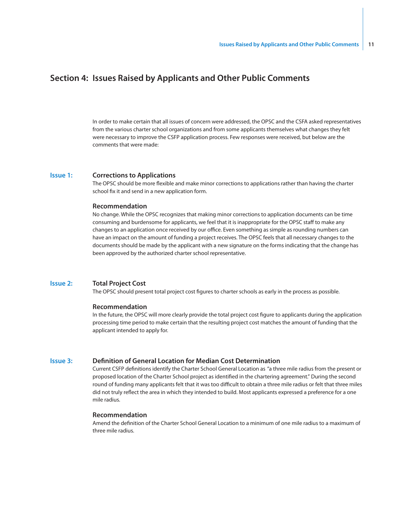## <span id="page-18-0"></span>**Section 4: Issues Raised by Applicants and Other Public Comments**

In order to make certain that all issues of concern were addressed, the OPSC and the CSFA asked representatives from the various charter school organizations and from some applicants themselves what changes they felt were necessary to improve the CSFP application process. Few responses were received, but below are the comments that were made:

## **Issue 1: Corrections to Applications**

The OPSC should be more flexible and make minor corrections to applications rather than having the charter school fix it and send in a new application form.

#### **Recommendation**

No change. While the OPSC recognizes that making minor corrections to application documents can be time consuming and burdensome for applicants, we feel that it is inappropriate for the OPSC staff to make any changes to an application once received by our office. Even something as simple as rounding numbers can have an impact on the amount of funding a project receives. The OPSC feels that all necessary changes to the documents should be made by the applicant with a new signature on the forms indicating that the change has been approved by the authorized charter school representative.

## **Issue 2: Total Project Cost**

The OPSC should present total project cost figures to charter schools as early in the process as possible.

#### **Recommendation**

In the future, the OPSC will more clearly provide the total project cost figure to applicants during the application processing time period to make certain that the resulting project cost matches the amount of funding that the applicant intended to apply for.

## **Issue 3: Definition of General Location for Median Cost Determination**

Current CSFP definitions identify the Charter School General Location as "a three mile radius from the present or proposed location of the Charter School project as identified in the chartering agreement." During the second round of funding many applicants felt that it was too difficult to obtain a three mile radius or felt that three miles did not truly reflect the area in which they intended to build. Most applicants expressed a preference for a one mile radius.

### **Recommendation**

Amend the definition of the Charter School General Location to a minimum of one mile radius to a maximum of three mile radius.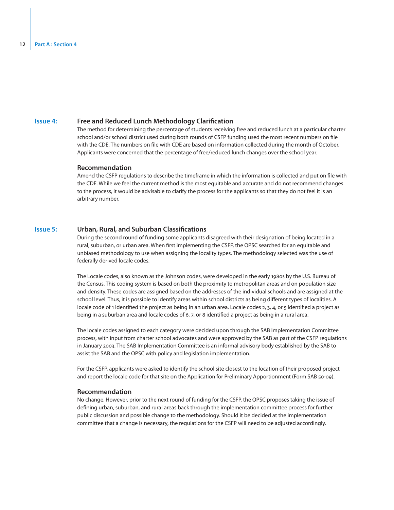## <span id="page-19-0"></span>**Issue 4: Free and Reduced Lunch Methodology Clarification**

The method for determining the percentage of students receiving free and reduced lunch at a particular charter school and/or school district used during both rounds of CSFP funding used the most recent numbers on file with the CDE. The numbers on file with CDE are based on information collected during the month of October. Applicants were concerned that the percentage of free/reduced lunch changes over the school year.

#### **Recommendation**

Amend the CSFP regulations to describe the timeframe in which the information is collected and put on file with the CDE. While we feel the current method is the most equitable and accurate and do not recommend changes to the process, it would be advisable to clarify the process for the applicants so that they do not feel it is an arbitrary number.

## **Issue 5: Urban, Rural, and Suburban Classifications**

During the second round of funding some applicants disagreed with their designation of being located in a rural, suburban, or urban area. When first implementing the CSFP, the OPSC searched for an equitable and unbiased methodology to use when assigning the locality types. The methodology selected was the use of federally derived locale codes.

The Locale codes, also known as the Johnson codes, were developed in the early 1980s by the U.S. Bureau of the Census. This coding system is based on both the proximity to metropolitan areas and on population size and density. These codes are assigned based on the addresses of the individual schools and are assigned at the school level. Thus, it is possible to identify areas within school districts as being different types of localities. A locale code of 1 identified the project as being in an urban area. Locale codes 2, 3, 4, or 5 identified a project as being in a suburban area and locale codes of 6, 7, or 8 identified a project as being in a rural area.

The locale codes assigned to each category were decided upon through the SAB Implementation Committee process, with input from charter school advocates and were approved by the SAB as part of the CSFP regulations in January 2003. The SAB Implementation Committee is an informal advisory body established by the SAB to assist the SAB and the OPSC with policy and legislation implementation.

For the CSFP, applicants were asked to identify the school site closest to the location of their proposed project and report the locale code for that site on the Application for Preliminary Apportionment (Form SAB 50-09).

#### **Recommendation**

No change. However, prior to the next round of funding for the CSFP, the OPSC proposes taking the issue of defining urban, suburban, and rural areas back through the implementation committee process for further public discussion and possible change to the methodology. Should it be decided at the implementation committee that a change is necessary, the regulations for the CSFP will need to be adjusted accordingly.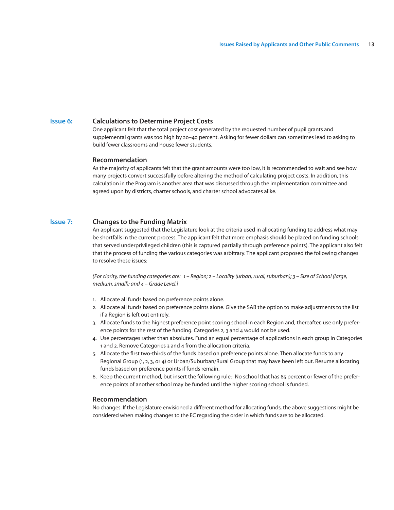## <span id="page-20-0"></span>**Issue 6: Calculations to Determine Project Costs**

One applicant felt that the total project cost generated by the requested number of pupil grants and supplemental grants was too high by 20-40 percent. Asking for fewer dollars can sometimes lead to asking to build fewer classrooms and house fewer students.

#### **Recommendation**

As the majority of applicants felt that the grant amounts were too low, it is recommended to wait and see how many projects convert successfully before altering the method of calculating project costs. In addition, this calculation in the Program is another area that was discussed through the implementation committee and agreed upon by districts, charter schools, and charter school advocates alike.

## **Issue 7: Changes to the Funding Matrix**

An applicant suggested that the Legislature look at the criteria used in allocating funding to address what may be shortfalls in the current process. The applicant felt that more emphasis should be placed on funding schools that served underprivileged children (this is captured partially through preference points). The applicant also felt that the process of funding the various categories was arbitrary. The applicant proposed the following changes to resolve these issues:

{For clarity, the funding categories are: – Region; – Locality (urban, rural, suburban); – Size of School (large, medium, small); and  $4$  – Grade Level.}

- . Allocate all funds based on preference points alone.
- . Allocate all funds based on preference points alone. Give the SAB the option to make adjustments to the list if a Region is left out entirely.
- . Allocate funds to the highest preference point scoring school in each Region and, thereafter, use only preference points for the rest of the funding. Categories 2, 3 and 4 would not be used.
- . Use percentages rather than absolutes. Fund an equal percentage of applications in each group in Categories 1 and 2. Remove Categories 3 and 4 from the allocation criteria.
- . Allocate the first two-thirds of the funds based on preference points alone. Then allocate funds to any Regional Group (1, 2, 3, or 4) or Urban/Suburban/Rural Group that may have been left out. Resume allocating funds based on preference points if funds remain.
- 6. Keep the current method, but insert the following rule: No school that has 85 percent or fewer of the preference points of another school may be funded until the higher scoring school is funded.

## **Recommendation**

No changes. If the Legislature envisioned a different method for allocating funds, the above suggestions might be considered when making changes to the EC regarding the order in which funds are to be allocated.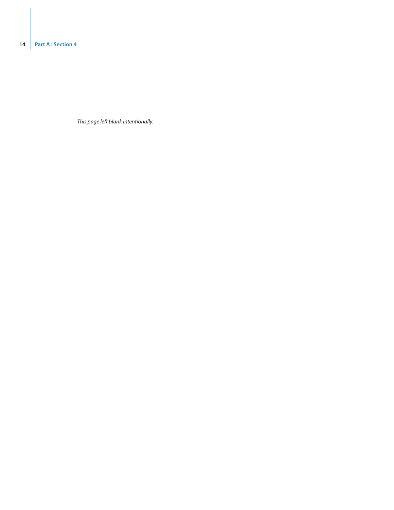This page left blank intentionally.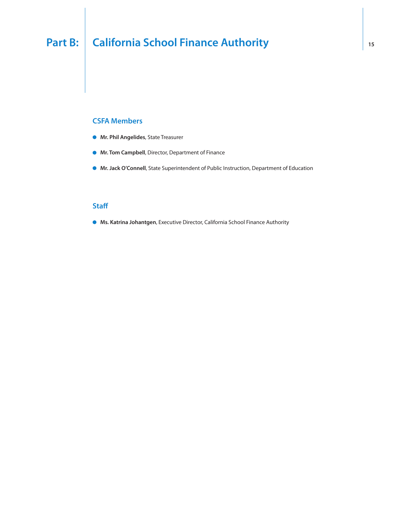# <span id="page-22-0"></span>**Part B: California School Finance Authority 15**

## **CSFA Members**

- **Mr. Phil Angelides**, State Treasurer
- **Mr. Tom Campbell**, Director, Department of Finance
- **Mr. Jack O'Connell**, State Superintendent of Public Instruction, Department of Education

## **Staff**

**Ms. Katrina Johantgen**, Executive Director, California School Finance Authority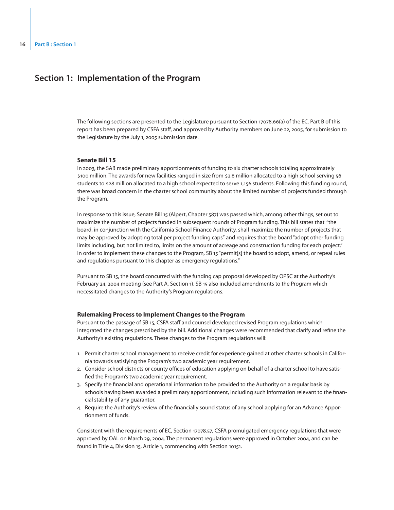## <span id="page-23-0"></span>**Section 1: Implementation of the Program**

The following sections are presented to the Legislature pursuant to Section 17078.66(a) of the EC. Part B of this report has been prepared by CSFA staff, and approved by Authority members on June 22, 2005, for submission to the Legislature by the July 1, 2005 submission date.

#### **Senate Bill 15**

In 2003, the SAB made preliminary apportionments of funding to six charter schools totaling approximately \$100 million. The awards for new facilities ranged in size from \$2.6 million allocated to a high school serving 56 students to \$28 million allocated to a high school expected to serve 1,156 students. Following this funding round, there was broad concern in the charter school community about the limited number of projects funded through the Program.

In response to this issue, Senate Bill 15 (Alpert, Chapter 587) was passed which, among other things, set out to maximize the number of projects funded in subsequent rounds of Program funding. This bill states that "the board, in conjunction with the California School Finance Authority, shall maximize the number of projects that may be approved by adopting total per project funding caps" and requires that the board "adopt other funding limits including, but not limited to, limits on the amount of acreage and construction funding for each project." In order to implement these changes to the Program, SB 15 "permit[s] the board to adopt, amend, or repeal rules and regulations pursuant to this chapter as emergency regulations."

Pursuant to SB 15, the board concurred with the funding cap proposal developed by OPSC at the Authority's February 24, 2004 meeting (see Part A, Section 1). SB 15 also included amendments to the Program which necessitated changes to the Authority's Program regulations.

#### **Rulemaking Process to Implement Changes to the Program**

Pursuant to the passage of SB 15, CSFA staff and counsel developed revised Program regulations which integrated the changes prescribed by the bill. Additional changes were recommended that clarify and refine the Authority's existing regulations. These changes to the Program regulations will:

- . Permit charter school management to receive credit for experience gained at other charter schools in California towards satisfying the Program's two academic year requirement.
- . Consider school districts or county offices of education applying on behalf of a charter school to have satisfied the Program's two academic year requirement.
- . Specify the financial and operational information to be provided to the Authority on a regular basis by schools having been awarded a preliminary apportionment, including such information relevant to the financial stability of any guarantor.
- . Require the Authority's review of the financially sound status of any school applying for an Advance Apportionment of funds.

Consistent with the requirements of EC, Section 17078.57, CSFA promulgated emergency regulations that were approved by OAL on March 29, 2004. The permanent regulations were approved in October 2004, and can be found in Title 4, Division 15, Article 1, commencing with Section 10151.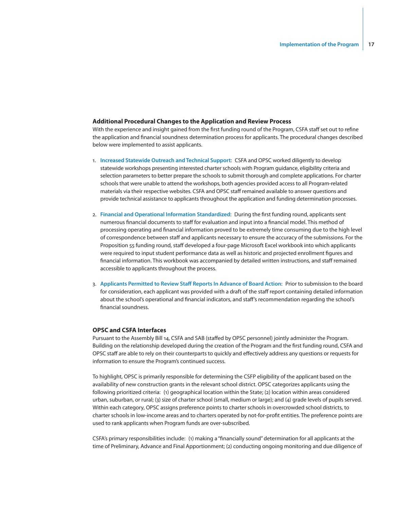#### **Additional Procedural Changes to the Application and Review Process**

With the experience and insight gained from the first funding round of the Program, CSFA staff set out to refine the application and financial soundness determination process for applicants. The procedural changes described below were implemented to assist applicants.

- . **Increased Statewide Outreach and Technical Support**: CSFA and OPSC worked diligently to develop statewide workshops presenting interested charter schools with Program guidance, eligibility criteria and selection parameters to better prepare the schools to submit thorough and complete applications. For charter schools that were unable to attend the workshops, both agencies provided access to all Program-related materials via their respective websites. CSFA and OPSC staff remained available to answer questions and provide technical assistance to applicants throughout the application and funding determination processes.
- . **Financial and Operational Information Standardized**: During the first funding round, applicants sent numerous financial documents to staff for evaluation and input into a financial model. This method of processing operating and financial information proved to be extremely time consuming due to the high level of correspondence between staff and applicants necessary to ensure the accuracy of the submissions. For the Proposition 55 funding round, staff developed a four-page Microsoft Excel workbook into which applicants were required to input student performance data as well as historic and projected enrollment figures and financial information. This workbook was accompanied by detailed written instructions, and staff remained accessible to applicants throughout the process.
- . **Applicants Permitted to Review Staff Reports In Advance of Board Action**: Prior to submission to the board for consideration, each applicant was provided with a draft of the staff report containing detailed information about the school's operational and financial indicators, and staff's recommendation regarding the school's financial soundness.

#### **OPSC and CSFA Interfaces**

Pursuant to the Assembly Bill 14, CSFA and SAB (staffed by OPSC personnel) jointly administer the Program. Building on the relationship developed during the creation of the Program and the first funding round, CSFA and OPSC staff are able to rely on their counterparts to quickly and effectively address any questions or requests for information to ensure the Program's continued success.

To highlight, OPSC is primarily responsible for determining the CSFP eligibility of the applicant based on the availability of new construction grants in the relevant school district. OPSC categorizes applicants using the following prioritized criteria: (1) geographical location within the State; (2) location within areas considered urban, suburban, or rural; (3) size of charter school (small, medium or large); and (4) grade levels of pupils served. Within each category, OPSC assigns preference points to charter schools in overcrowded school districts, to charter schools in low-income areas and to charters operated by not-for-profit entities. The preference points are used to rank applicants when Program funds are over-subscribed.

CSFA's primary responsibilities include: (1) making a "financially sound" determination for all applicants at the time of Preliminary, Advance and Final Apportionment; (2) conducting ongoing monitoring and due diligence of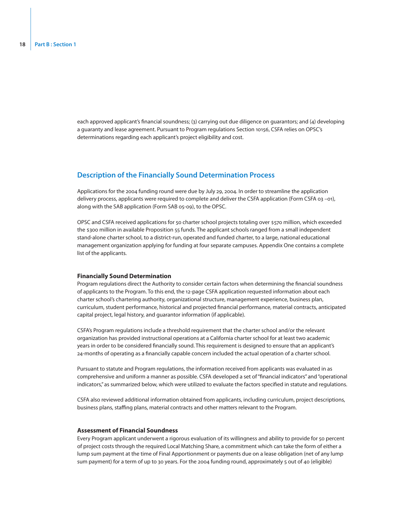<span id="page-25-0"></span>each approved applicant's financial soundness; (3) carrying out due diligence on guarantors; and (4) developing a quaranty and lease agreement. Pursuant to Program regulations Section 10156, CSFA relies on OPSC's determinations regarding each applicant's project eligibility and cost.

## **Description of the Financially Sound Determination Process**

Applications for the 2004 funding round were due by July 29, 2004. In order to streamline the application delivery process, applicants were required to complete and deliver the CSFA application (Form CSFA 03-01), along with the SAB application (Form SAB 05-09), to the OPSC.

OPSC and CSFA received applications for 50 charter school projects totaling over \$570 million, which exceeded the \$300 million in available Proposition 55 funds. The applicant schools ranged from a small independent stand-alone charter school, to a district-run, operated and funded charter, to a large, national educational management organization applying for funding at four separate campuses. Appendix One contains a complete list of the applicants.

#### **Financially Sound Determination**

Program regulations direct the Authority to consider certain factors when determining the financial soundness of applicants to the Program. To this end, the 12-page CSFA application requested information about each charter school's chartering authority, organizational structure, management experience, business plan, curriculum, student performance, historical and projected financial performance, material contracts, anticipated capital project, legal history, and guarantor information (if applicable).

CSFA's Program regulations include a threshold requirement that the charter school and/or the relevant organization has provided instructional operations at a California charter school for at least two academic years in order to be considered financially sound. This requirement is designed to ensure that an applicant's 24-months of operating as a financially capable concern included the actual operation of a charter school.

Pursuant to statute and Program regulations, the information received from applicants was evaluated in as comprehensive and uniform a manner as possible. CSFA developed a set of "financial indicators" and "operational indicators," as summarized below, which were utilized to evaluate the factors specified in statute and regulations.

CSFA also reviewed additional information obtained from applicants, including curriculum, project descriptions, business plans, staffing plans, material contracts and other matters relevant to the Program.

#### **Assessment of Financial Soundness**

Every Program applicant underwent a rigorous evaluation of its willingness and ability to provide for 50 percent of project costs through the required Local Matching Share, a commitment which can take the form of either a lump sum payment at the time of Final Apportionment or payments due on a lease obligation (net of any lump sum payment) for a term of up to  $30$  years. For the  $2004$  funding round, approximately  $5$  out of  $40$  (eligible)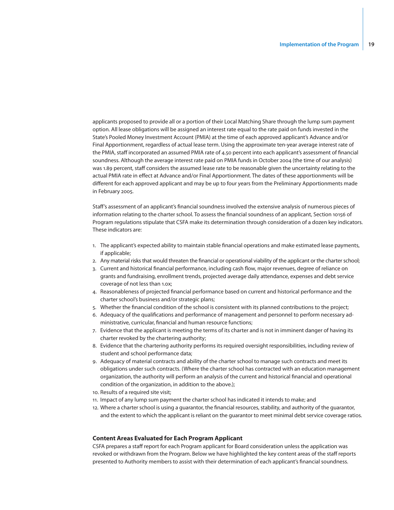applicants proposed to provide all or a portion of their Local Matching Share through the lump sum payment option. All lease obligations will be assigned an interest rate equal to the rate paid on funds invested in the State's Pooled Money Investment Account (PMIA) at the time of each approved applicant's Advance and/or Final Apportionment, regardless of actual lease term. Using the approximate ten-year average interest rate of the PMIA, staff incorporated an assumed PMIA rate of 4.50 percent into each applicant's assessment of financial soundness. Although the average interest rate paid on PMIA funds in October 2004 (the time of our analysis) was 1.89 percent, staff considers the assumed lease rate to be reasonable given the uncertainty relating to the actual PMIA rate in effect at Advance and/or Final Apportionment. The dates of these apportionments will be different for each approved applicant and may be up to four years from the Preliminary Apportionments made in February 2005.

Staff's assessment of an applicant's financial soundness involved the extensive analysis of numerous pieces of information relating to the charter school. To assess the financial soundness of an applicant, Section 10156 of Program regulations stipulate that CSFA make its determination through consideration of a dozen key indicators. These indicators are:

- . The applicant's expected ability to maintain stable financial operations and make estimated lease payments, if applicable;
- . Any material risks that would threaten the financial or operational viability of the applicant or the charter school;
- . Current and historical financial performance, including cash flow, major revenues, degree of reliance on grants and fundraising, enrollment trends, projected average daily attendance, expenses and debt service coverage of not less than 1.0x;
- . Reasonableness of projected financial performance based on current and historical performance and the charter school's business and/or strategic plans;
- . Whether the financial condition of the school is consistent with its planned contributions to the project;
- . Adequacy of the qualifications and performance of management and personnel to perform necessary administrative, curricular, financial and human resource functions;
- . Evidence that the applicant is meeting the terms of its charter and is not in imminent danger of having its charter revoked by the chartering authority;
- . Evidence that the chartering authority performs its required oversight responsibilities, including review of student and school performance data;
- . Adequacy of material contracts and ability of the charter school to manage such contracts and meet its obligations under such contracts. (Where the charter school has contracted with an education management organization, the authority will perform an analysis of the current and historical financial and operational condition of the organization, in addition to the above.);
- . Results of a required site visit;
- . Impact of any lump sum payment the charter school has indicated it intends to make; and
- . Where a charter school is using a guarantor, the financial resources, stability, and authority of the guarantor, and the extent to which the applicant is reliant on the guarantor to meet minimal debt service coverage ratios.

#### **Content Areas Evaluated for Each Program Applicant**

CSFA prepares a staff report for each Program applicant for Board consideration unless the application was revoked or withdrawn from the Program. Below we have highlighted the key content areas of the staff reports presented to Authority members to assist with their determination of each applicant's financial soundness.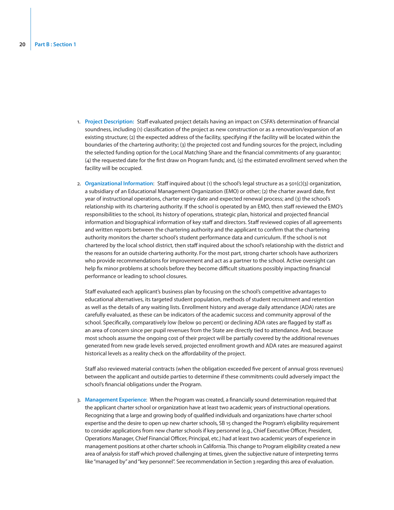- . **Project Description:** Staff evaluated project details having an impact on CSFA's determination of financial soundness, including (1) classification of the project as new construction or as a renovation/expansion of an existing structure; (2) the expected address of the facility, specifying if the facility will be located within the boundaries of the chartering authority; (3) the projected cost and funding sources for the project, including the selected funding option for the Local Matching Share and the financial commitments of any guarantor;  $(4)$  the requested date for the first draw on Program funds; and,  $(5)$  the estimated enrollment served when the facility will be occupied.
- 2. Organizational Information: Staff inquired about (1) the school's legal structure as a 501(c)(3) organization, a subsidiary of an Educational Management Organization (EMO) or other; (2) the charter award date, first year of instructional operations, charter expiry date and expected renewal process; and (3) the school's relationship with its chartering authority. If the school is operated by an EMO, then staff reviewed the EMO's responsibilities to the school, its history of operations, strategic plan, historical and projected financial information and biographical information of key staff and directors. Staff reviewed copies of all agreements and written reports between the chartering authority and the applicant to confirm that the chartering authority monitors the charter school's student performance data and curriculum. If the school is not chartered by the local school district, then staff inquired about the school's relationship with the district and the reasons for an outside chartering authority. For the most part, strong charter schools have authorizers who provide recommendations for improvement and act as a partner to the school. Active oversight can help fix minor problems at schools before they become difficult situations possibly impacting financial performance or leading to school closures.

Staff evaluated each applicant's business plan by focusing on the school's competitive advantages to educational alternatives, its targeted student population, methods of student recruitment and retention as well as the details of any waiting lists. Enrollment history and average daily attendance (ADA) rates are carefully evaluated, as these can be indicators of the academic success and community approval of the school. Specifically, comparatively low (below 90 percent) or declining ADA rates are flagged by staff as an area of concern since per pupil revenues from the State are directly tied to attendance. And, because most schools assume the ongoing cost of their project will be partially covered by the additional revenues generated from new grade levels served, projected enrollment growth and ADA rates are measured against historical levels as a reality check on the affordability of the project.

Staff also reviewed material contracts (when the obligation exceeded five percent of annual gross revenues) between the applicant and outside parties to determine if these commitments could adversely impact the school's financial obligations under the Program.

. **Management Experience**: When the Program was created, a financially sound determination required that the applicant charter school or organization have at least two academic years of instructional operations. Recognizing that a large and growing body of qualified individuals and organizations have charter school expertise and the desire to open up new charter schools, SB 15 changed the Program's eligibility requirement to consider applications from new charter schools if key personnel (e.g., Chief Executive Officer, President, Operations Manager, Chief Financial Officer, Principal, etc.) had at least two academic years of experience in management positions at other charter schools in California. This change to Program eligibility created a new area of analysis for staff which proved challenging at times, given the subjective nature of interpreting terms like "managed by" and "key personnel". See recommendation in Section 3 regarding this area of evaluation.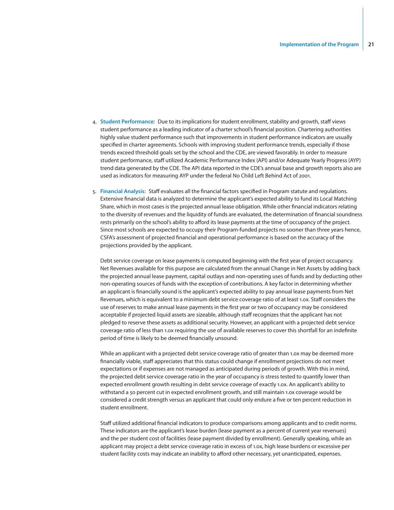- . **Student Performance**: Due to its implications for student enrollment, stability and growth, staff views student performance as a leading indicator of a charter school's financial position. Chartering authorities highly value student performance such that improvements in student performance indicators are usually specified in charter agreements. Schools with improving student performance trends, especially if those trends exceed threshold goals set by the school and the CDE, are viewed favorably. In order to measure student performance, staff utilized Academic Performance Index (API) and/or Adequate Yearly Progress (AYP) trend data generated by the CDE. The API data reported in the CDE's annual base and growth reports also are used as indicators for measuring AYP under the federal No Child Left Behind Act of 2001.
- . **Financial Analysis**: Staff evaluates all the financial factors specified in Program statute and regulations. Extensive financial data is analyzed to determine the applicant's expected ability to fund its Local Matching Share, which in most cases is the projected annual lease obligation. While other financial indicators relating to the diversity of revenues and the liquidity of funds are evaluated, the determination of financial soundness rests primarily on the school's ability to afford its lease payments at the time of occupancy of the project. Since most schools are expected to occupy their Program-funded projects no sooner than three years hence, CSFA's assessment of projected financial and operational performance is based on the accuracy of the projections provided by the applicant.

Debt service coverage on lease payments is computed beginning with the first year of project occupancy. Net Revenues available for this purpose are calculated from the annual Change in Net Assets by adding back the projected annual lease payment, capital outlays and non-operating uses of funds and by deducting other non-operating sources of funds with the exception of contributions. A key factor in determining whether an applicant is financially sound is the applicant's expected ability to pay annual lease payments from Net Revenues, which is equivalent to a minimum debt service coverage ratio of at least 1.0x. Staff considers the use of reserves to make annual lease payments in the first year or two of occupancy may be considered acceptable if projected liquid assets are sizeable, although staff recognizes that the applicant has not pledged to reserve these assets as additional security. However, an applicant with a projected debt service coverage ratio of less than 1.0x requiring the use of available reserves to cover this shortfall for an indefinite period of time is likely to be deemed financially unsound.

While an applicant with a projected debt service coverage ratio of greater than 1.0x may be deemed more financially viable, staff appreciates that this status could change if enrollment projections do not meet expectations or if expenses are not managed as anticipated during periods of growth. With this in mind, the projected debt service coverage ratio in the year of occupancy is stress tested to quantify lower than expected enrollment growth resulting in debt service coverage of exactly 1.0x. An applicant's ability to withstand a 50 percent cut in expected enrollment growth, and still maintain 1.0x coverage would be considered a credit strength versus an applicant that could only endure a five or ten percent reduction in student enrollment.

Staff utilized additional financial indicators to produce comparisons among applicants and to credit norms. These indicators are the applicant's lease burden (lease payment as a percent of current year revenues) and the per student cost of facilities (lease payment divided by enrollment). Generally speaking, while an applicant may project a debt service coverage ratio in excess of 1.0x, high lease burdens or excessive per student facility costs may indicate an inability to afford other necessary, yet unanticipated, expenses.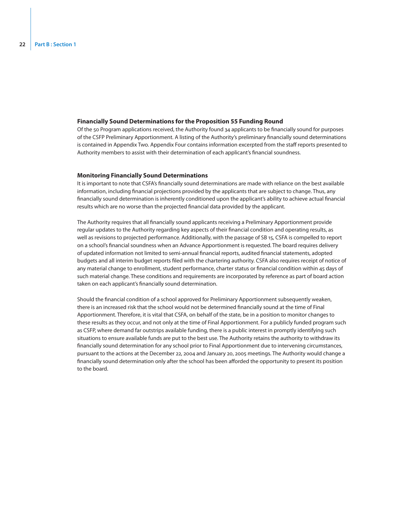#### **Financially Sound Determinations for the Proposition 55 Funding Round**

Of the 50 Program applications received, the Authority found 34 applicants to be financially sound for purposes of the CSFP Preliminary Apportionment. A listing of the Authority's preliminary financially sound determinations is contained in Appendix Two. Appendix Four contains information excerpted from the staff reports presented to Authority members to assist with their determination of each applicant's financial soundness.

#### **Monitoring Financially Sound Determinations**

It is important to note that CSFA's financially sound determinations are made with reliance on the best available information, including financial projections provided by the applicants that are subject to change. Thus, any financially sound determination is inherently conditioned upon the applicant's ability to achieve actual financial results which are no worse than the projected financial data provided by the applicant.

The Authority requires that all financially sound applicants receiving a Preliminary Apportionment provide regular updates to the Authority regarding key aspects of their financial condition and operating results, as well as revisions to projected performance. Additionally, with the passage of SB 15, CSFA is compelled to report on a school's financial soundness when an Advance Apportionment is requested. The board requires delivery of updated information not limited to semi-annual financial reports, audited financial statements, adopted budgets and all interim budget reports filed with the chartering authority. CSFA also requires receipt of notice of any material change to enrollment, student performance, charter status or financial condition within 45 days of such material change. These conditions and requirements are incorporated by reference as part of board action taken on each applicant's financially sound determination.

Should the financial condition of a school approved for Preliminary Apportionment subsequently weaken, there is an increased risk that the school would not be determined financially sound at the time of Final Apportionment. Therefore, it is vital that CSFA, on behalf of the state, be in a position to monitor changes to these results as they occur, and not only at the time of Final Apportionment. For a publicly funded program such as CSFP, where demand far outstrips available funding, there is a public interest in promptly identifying such situations to ensure available funds are put to the best use. The Authority retains the authority to withdraw its financially sound determination for any school prior to Final Apportionment due to intervening circumstances, pursuant to the actions at the December 22, 2004 and January 20, 2005 meetings. The Authority would change a financially sound determination only after the school has been afforded the opportunity to present its position to the board.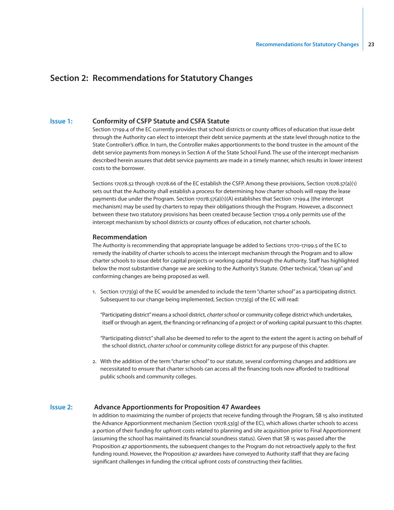## <span id="page-30-0"></span>**Section 2: Recommendations for Statutory Changes**

## **Issue 1: Conformity of CSFP Statute and CSFA Statute**

Section 17199.4 of the EC currently provides that school districts or county offices of education that issue debt through the Authority can elect to intercept their debt service payments at the state level through notice to the State Controller's office. In turn, the Controller makes apportionments to the bond trustee in the amount of the debt service payments from moneys in Section A of the State School Fund. The use of the intercept mechanism described herein assures that debt service payments are made in a timely manner, which results in lower interest costs to the borrower.

Sections 17078.52 through 17078.66 of the EC establish the CSFP. Among these provisions, Section 17078.57(a)(1) sets out that the Authority shall establish a process for determining how charter schools will repay the lease payments due under the Program. Section 17078.57(a)(1)(A) establishes that Section 17199.4 (the intercept mechanism) may be used by charters to repay their obligations through the Program. However, a disconnect between these two statutory provisions has been created because Section 17199.4 only permits use of the intercept mechanism by school districts or county offices of education, not charter schools.

## **Recommendation**

The Authority is recommending that appropriate language be added to Sections 17170-17199.5 of the EC to remedy the inability of charter schools to access the intercept mechanism through the Program and to allow charter schools to issue debt for capital projects or working capital through the Authority. Staff has highlighted below the most substantive change we are seeking to the Authority's Statute. Other technical, "clean up" and conforming changes are being proposed as well.

1. Section  $17173(q)$  of the EC would be amended to include the term "charter school" as a participating district. Subsequent to our change being implemented, Section 17173(g) of the EC will read:

"Participating district" means a school district, charter school or community college district which undertakes, itself or through an agent, the financing or refinancing of a project or of working capital pursuant to this chapter.

" Participating district" shall also be deemed to refer to the agent to the extent the agent is acting on behalf of the school district, charter school or community college district for any purpose of this chapter.

. With the addition of the term "charter school" to our statute, several conforming changes and additions are necessitated to ensure that charter schools can access all the financing tools now afforded to traditional public schools and community colleges.

## **Issue 2: Advance Apportionments for Proposition 47 Awardees**

In addition to maximizing the number of projects that receive funding through the Program, SB 15 also instituted the Advance Apportionment mechanism (Section 17078.53(q) of the EC), which allows charter schools to access a portion of their funding for upfront costs related to planning and site acquisition prior to Final Apportionment (assuming the school has maintained its financial soundness status). Given that SB 15 was passed after the Proposition 47 apportionments, the subsequent changes to the Program do not retroactively apply to the first funding round. However, the Proposition 47 awardees have conveyed to Authority staff that they are facing significant challenges in funding the critical upfront costs of constructing their facilities.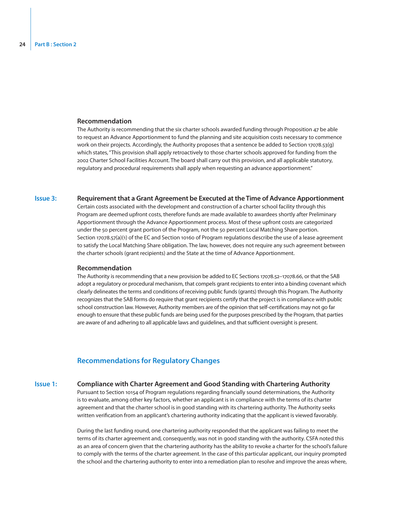### <span id="page-31-0"></span>**Recommendation**

The Authority is recommending that the six charter schools awarded funding through Proposition 47 be able to request an Advance Apportionment to fund the planning and site acquisition costs necessary to commence work on their projects. Accordingly, the Authority proposes that a sentence be added to Section 17078.53(q) which states, "This provision shall apply retroactively to those charter schools approved for funding from the 2002 Charter School Facilities Account. The board shall carry out this provision, and all applicable statutory, regulatory and procedural requirements shall apply when requesting an advance apportionment."

#### **Issue 3: Requirement that a Grant Agreement be Executed at the Time of Advance Apportionment**

Certain costs associated with the development and construction of a charter school facility through this Program are deemed upfront costs, therefore funds are made available to awardees shortly after Preliminary Apportionment through the Advance Apportionment process. Most of these upfront costs are categorized under the 50 percent grant portion of the Program, not the 50 percent Local Matching Share portion. Section 17078.57(a)(1) of the EC and Section 10160 of Program regulations describe the use of a lease agreement to satisfy the Local Matching Share obligation. The law, however, does not require any such agreement between the charter schools (grant recipients) and the State at the time of Advance Apportionment.

#### **Recommendation**

The Authority is recommending that a new provision be added to EC Sections 17078.52-17078.66, or that the SAB adopt a regulatory or procedural mechanism, that compels grant recipients to enter into a binding covenant which clearly delineates the terms and conditions of receiving public funds (grants) through this Program. The Authority recognizes that the SAB forms do require that grant recipients certify that the project is in compliance with public school construction law. However, Authority members are of the opinion that self-certifications may not go far enough to ensure that these public funds are being used for the purposes prescribed by the Program, that parties are aware of and adhering to all applicable laws and guidelines, and that sufficient oversight is present.

## **Recommendations for Regulatory Changes**

## **Issue 1: Compliance with Charter Agreement and Good Standing with Chartering Authority**

Pursuant to Section 10154 of Program regulations regarding financially sound determinations, the Authority is to evaluate, among other key factors, whether an applicant is in compliance with the terms of its charter agreement and that the charter school is in good standing with its chartering authority. The Authority seeks written verification from an applicant's chartering authority indicating that the applicant is viewed favorably.

During the last funding round, one chartering authority responded that the applicant was failing to meet the terms of its charter agreement and, consequently, was not in good standing with the authority. CSFA noted this as an area of concern given that the chartering authority has the ability to revoke a charter for the school's failure to comply with the terms of the charter agreement. In the case of this particular applicant, our inquiry prompted the school and the chartering authority to enter into a remediation plan to resolve and improve the areas where,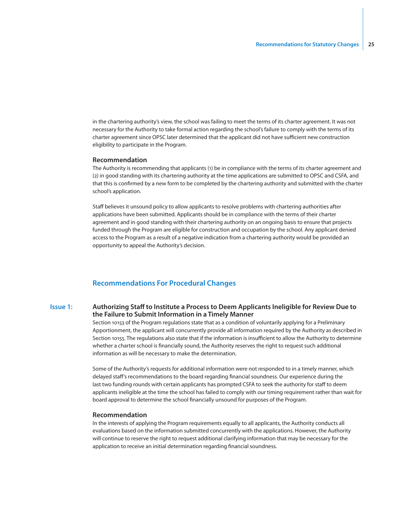<span id="page-32-0"></span>in the chartering authority's view, the school was failing to meet the terms of its charter agreement. It was not necessary for the Authority to take formal action regarding the school's failure to comply with the terms of its charter agreement since OPSC later determined that the applicant did not have sufficient new construction eligibility to participate in the Program.

### **Recommendation**

The Authority is recommending that applicants (1) be in compliance with the terms of its charter agreement and (2) in good standing with its chartering authority at the time applications are submitted to OPSC and CSFA, and that this is confirmed by a new form to be completed by the chartering authority and submitted with the charter school's application.

Staff believes it unsound policy to allow applicants to resolve problems with chartering authorities after applications have been submitted. Applicants should be in compliance with the terms of their charter agreement and in good standing with their chartering authority on an ongoing basis to ensure that projects funded through the Program are eligible for construction and occupation by the school. Any applicant denied access to the Program as a result of a negative indication from a chartering authority would be provided an opportunity to appeal the Authority's decision.

## **Recommendations For Procedural Changes**

## **Issue 1: Authorizing Staff to Institute a Process to Deem Applicants Ineligible for Review Due to the Failure to Submit Information in a Timely Manner**

Section 10153 of the Program regulations state that as a condition of voluntarily applying for a Preliminary Apportionment, the applicant will concurrently provide all information required by the Authority as described in Section 10155. The regulations also state that if the information is insufficient to allow the Authority to determine whether a charter school is financially sound, the Authority reserves the right to request such additional information as will be necessary to make the determination.

Some of the Authority's requests for additional information were not responded to in a timely manner, which delayed staff's recommendations to the board regarding financial soundness. Our experience during the last two funding rounds with certain applicants has prompted CSFA to seek the authority for staff to deem applicants ineligible at the time the school has failed to comply with our timing requirement rather than wait for board approval to determine the school financially unsound for purposes of the Program.

#### **Recommendation**

In the interests of applying the Program requirements equally to all applicants, the Authority conducts all evaluations based on the information submitted concurrently with the applications. However, the Authority will continue to reserve the right to request additional clarifying information that may be necessary for the application to receive an initial determination regarding financial soundness.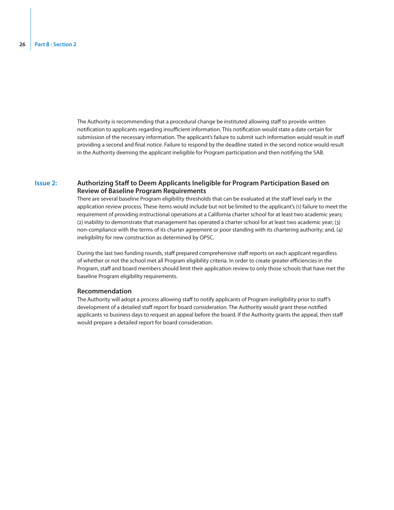<span id="page-33-0"></span>The Authority is recommending that a procedural change be instituted allowing staff to provide written notification to applicants regarding insufficient information. This notification would state a date certain for submission of the necessary information. The applicant's failure to submit such information would result in staff providing a second and final notice. Failure to respond by the deadline stated in the second notice would result in the Authority deeming the applicant ineligible for Program participation and then notifying the SAB.

## **Issue 2: Authorizing Staff to Deem Applicants Ineligible for Program Participation Based on Review of Baseline Program Requirements**

There are several baseline Program eligibility thresholds that can be evaluated at the staff level early in the application review process. These items would include but not be limited to the applicant's (1) failure to meet the requirement of providing instructional operations at a California charter school for at least two academic years; (2) inability to demonstrate that management has operated a charter school for at least two academic year; (3) non-compliance with the terms of its charter agreement or poor standing with its chartering authority; and, (4) ineligibility for new construction as determined by OPSC.

During the last two funding rounds, staff prepared comprehensive staff reports on each applicant regardless of whether or not the school met all Program eligibility criteria. In order to create greater efficiencies in the Program, staff and board members should limit their application review to only those schools that have met the baseline Program eligibility requirements.

### **Recommendation**

The Authority will adopt a process allowing staff to notify applicants of Program ineligibility prior to staff's development of a detailed staff report for board consideration. The Authority would grant these notified applicants 10 business days to request an appeal before the board. If the Authority grants the appeal, then staff would prepare a detailed report for board consideration.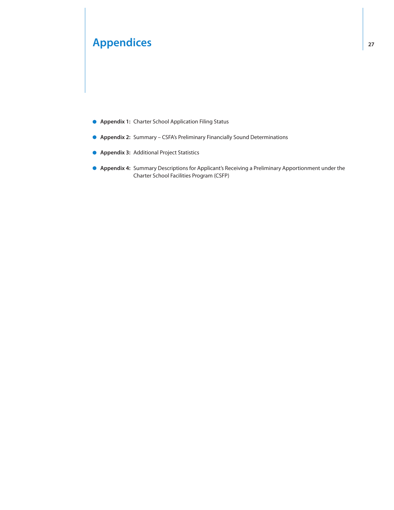# **27 Appendices**

- <span id="page-34-0"></span>**Appendix 1:** Charter School Application Filing Status
- **Appendix 2:** Summary CSFA's Preliminary Financially Sound Determinations
- **Appendix 3: Additional Project Statistics**
- **Appendix 4:** Summary Descriptions for Applicant's Receiving a Preliminary Apportionment under the Charter School Facilities Program (CSFP)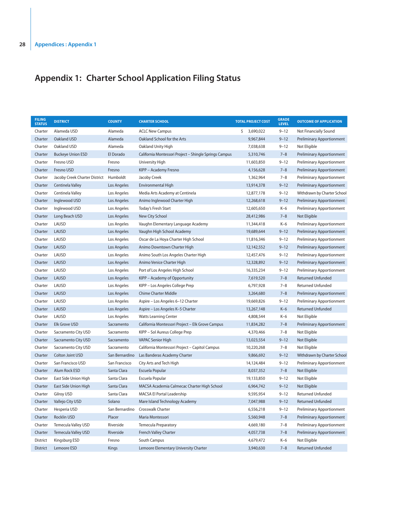# <span id="page-35-0"></span>**Appendix 1: Charter School Application Filing Status**

| <b>FILING</b><br><b>STATUS</b> | <b>DISTRICT</b>               | <b>COUNTY</b>  | <b>CHARTER SCHOOL</b>                                  | <b>TOTAL PROJECT COST</b> | <b>GRADE</b><br>LEVEL | <b>OUTCOME OF APPLICATION</b>    |
|--------------------------------|-------------------------------|----------------|--------------------------------------------------------|---------------------------|-----------------------|----------------------------------|
| Charter                        | Alameda USD                   | Alameda        | <b>ACLC New Campus</b>                                 | 3,690,022<br>\$           | $9 - 12$              | Not Financially Sound            |
| Charter                        | Oakland USD                   | Alameda        | Oakland School for the Arts                            | 9,967,844                 | $9 - 12$              | <b>Preliminary Apportionment</b> |
| Charter                        | Oakland USD                   | Alameda        | Oakland Unity High                                     | 7,038,638                 | $9 - 12$              | Not Eligible                     |
| Charter                        | <b>Buckeye Union ESD</b>      | El Dorado      | California Montessori Project – Shingle Springs Campus | 5,310,746                 | $7 - 8$               | <b>Preliminary Apportionment</b> |
| Charter                        | Fresno USD                    | Fresno         | University High                                        | 11,603,850                | $9 - 12$              | <b>Preliminary Apportionment</b> |
| Charter                        | Fresno USD                    | Fresno         | KIPP - Academy Fresno                                  | 4,156,628                 | $7 - 8$               | <b>Preliminary Apportionment</b> |
| Charter                        | Jacoby Creek Charter District | Humboldt       | Jacoby Creek                                           | 1,362,964                 | $7 - 8$               | <b>Preliminary Apportionment</b> |
| Charter                        | Centinela Valley              | Los Angeles    | Environmental High                                     | 13,914,378                | $9 - 12$              | <b>Preliminary Apportionment</b> |
| Charter                        | Centinela Valley              | Los Angeles    | Media Arts Academy at Centinela                        | 12,877,178                | $9 - 12$              | Withdrawn by Charter School      |
| Charter                        | Inglewood USD                 | Los Angeles    | Animo Inglewood Charter High                           | 12,268,618                | $9 - 12$              | <b>Preliminary Apportionment</b> |
| Charter                        | Inglewood USD                 | Los Angeles    | Today's Fresh Start                                    | 12,605,650                | $K-6$                 | <b>Preliminary Apportionment</b> |
| Charter                        | Long Beach USD                | Los Angeles    | New City School                                        | 28,412,986                | $7 - 8$               | Not Eligible                     |
| Charter                        | LAUSD                         | Los Angeles    | Vaughn Elementary Language Academy                     | 11,344,418                | $K-6$                 | <b>Preliminary Apportionment</b> |
| Charter                        | LAUSD                         | Los Angeles    | Vaughn High School Academy                             | 19,689,644                | $9 - 12$              | <b>Preliminary Apportionment</b> |
| Charter                        | LAUSD                         | Los Angeles    | Oscar de La Hoya Charter High School                   | 11,816,346                | $9 - 12$              | <b>Preliminary Apportionment</b> |
| Charter                        | <b>LAUSD</b>                  | Los Angeles    | Animo Downtown Charter High                            | 12,142,552                | $9 - 12$              | <b>Preliminary Apportionment</b> |
| Charter                        | LAUSD                         | Los Angeles    | Animo South Los Angeles Charter High                   | 12,457,476                | $9 - 12$              | <b>Preliminary Apportionment</b> |
| Charter                        | LAUSD                         | Los Angeles    | Animo Venice Charter High                              | 12,328,892                | $9 - 12$              | <b>Preliminary Apportionment</b> |
| Charter                        | LAUSD                         | Los Angeles    | Port of Los Angeles High School                        | 16,335,234                | $9 - 12$              | <b>Preliminary Apportionment</b> |
| Charter                        | LAUSD                         | Los Angeles    | KIPP - Academy of Opportunity                          | 7,619,520                 | $7 - 8$               | <b>Returned Unfunded</b>         |
| Charter                        | LAUSD                         | Los Angeles    | KIPP - Los Angeles College Prep                        | 6,797,928                 | $7 - 8$               | <b>Returned Unfunded</b>         |
| Charter                        | LAUSD                         | Los Angeles    | <b>Chime Charter Middle</b>                            | 3,264,680                 | $7 - 8$               | <b>Preliminary Apportionment</b> |
| Charter                        | LAUSD                         | Los Angeles    | Aspire - Los Angeles 6-12 Charter                      | 19,669,826                | $9 - 12$              | <b>Preliminary Apportionment</b> |
| Charter                        | LAUSD                         | Los Angeles    | Aspire - Los Angeles K-5 Charter                       | 13,267,148                | $K-6$                 | <b>Returned Unfunded</b>         |
| Charter                        | LAUSD                         | Los Angeles    | <b>Watts Learning Center</b>                           | 4,808,544                 | $K-6$                 | Not Eligible                     |
| Charter                        | Elk Grove USD                 | Sacramento     | California Montessori Project - Elk Grove Campus       | 11,834,282                | $7 - 8$               | <b>Preliminary Apportionment</b> |
| Charter                        | Sacramento City USD           | Sacramento     | KIPP - Sol Aureus College Prep                         | 4,370,466                 | $7 - 8$               | Not Eligible                     |
| Charter                        | Sacramento City USD           | Sacramento     | <b>VAPAC Senior High</b>                               | 13,023,554                | $9 - 12$              | Not Eligible                     |
| Charter                        | Sacramento City USD           | Sacramento     | California Montessori Project - Capitol Campus         | 10,220,268                | $7 - 8$               | Not Eligible                     |
| Charter                        | Colton Joint USD              | San Bernardino | Las Banderas Academy Charter                           | 9,866,692                 | $9 - 12$              | Withdrawn by Charter School      |
| Charter                        | San Francisco USD             | San Francisco  | City Arts and Tech High                                | 14,124,484                | $9 - 12$              | <b>Preliminary Apportionment</b> |
| Charter                        | Alum Rock ESD                 | Santa Clara    | Escuela Popular                                        | 8,037,352                 | $7 - 8$               | Not Eligible                     |
| Charter                        | East Side Union High          | Santa Clara    | Escuela Popular                                        | 19,133,850                | $9 - 12$              | Not Eligible                     |
| Charter                        | East Side Union High          | Santa Clara    | MACSA Academia Calmecac Charter High School            | 6,964,742                 | $9 - 12$              | Not Eligible                     |
| Charter                        | <b>Gilroy USD</b>             | Santa Clara    | <b>MACSA El Portal Leadership</b>                      | 9,595,954                 | $9 - 12$              | Returned Unfunded                |
| Charter                        | Vallejo City USD              | Solano         | Mare Island Technology Academy                         | 7,047,988                 | $9 - 12$              | <b>Returned Unfunded</b>         |
| Charter                        | Hesperia USD                  | San Bernardino | Crosswalk Charter                                      | 6,556,218                 | $9 - 12$              | Preliminary Apportionment        |
| Charter                        | <b>Rocklin USD</b>            | Placer         | Maria Montessori                                       | 5,560,948                 | $7 - 8$               | <b>Preliminary Apportionment</b> |
| Charter                        | Temecula Valley USD           | Riverside      | <b>Temecula Preparatory</b>                            | 4,669,180                 | $7 - 8$               | <b>Preliminary Apportionment</b> |
| Charter                        | <b>Temecula Valley USD</b>    | Riverside      | <b>French Valley Charter</b>                           | 4,057,738                 | $7 - 8$               | <b>Preliminary Apportionment</b> |
| District                       | Kingsburg ESD                 | Fresno         | South Campus                                           | 4,679,472                 | $K-6$                 | Not Eligible                     |
| <b>District</b>                | Lemoore ESD                   | <b>Kings</b>   | Lemoore Elementary University Charter                  | 3,940,630                 | $7 - 8$               | <b>Returned Unfunded</b>         |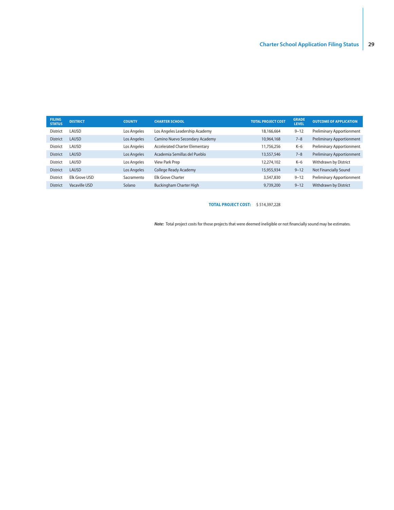| <b>FILING</b><br><b>STATUS</b> | <b>DISTRICT</b> | <b>COUNTY</b> | <b>CHARTER SCHOOL</b>                 | <b>TOTAL PROJECT COST</b> | <b>GRADE</b><br><b>LEVEL</b> | <b>OUTCOME OF APPLICATION</b>    |
|--------------------------------|-----------------|---------------|---------------------------------------|---------------------------|------------------------------|----------------------------------|
| <b>District</b>                | LAUSD           | Los Angeles   | Los Angeles Leadership Academy        | 18.166.664                | $9 - 12$                     | <b>Preliminary Apportionment</b> |
| <b>District</b>                | LAUSD           | Los Angeles   | Camino Nuevo Secondary Academy        | 10,964,168                | $7 - 8$                      | <b>Preliminary Apportionment</b> |
| <b>District</b>                | LAUSD           | Los Angeles   | <b>Accelerated Charter Elementary</b> | 11,756,256                | $K-6$                        | <b>Preliminary Apportionment</b> |
| <b>District</b>                | LAUSD           | Los Angeles   | Academia Semillas del Pueblo          | 13,557,546                | $7 - 8$                      | <b>Preliminary Apportionment</b> |
| <b>District</b>                | LAUSD           | Los Angeles   | <b>View Park Prep</b>                 | 12,274,102                | $K-6$                        | Withdrawn by District            |
| <b>District</b>                | LAUSD           | Los Angeles   | <b>College Ready Academy</b>          | 15,955,934                | $9 - 12$                     | <b>Not Financially Sound</b>     |
| <b>District</b>                | Elk Grove USD   | Sacramento    | Elk Grove Charter                     | 3,547,830                 | $9 - 12$                     | <b>Preliminary Apportionment</b> |
| <b>District</b>                | Vacaville USD   | Solano        | Buckingham Charter High               | 9,739,200                 | $9 - 12$                     | Withdrawn by District            |

**TOTAL PROJECT COST:** \$ 514,397,228

**Note:** Total project costs for those projects that were deemed ineligible or not financially sound may be estimates.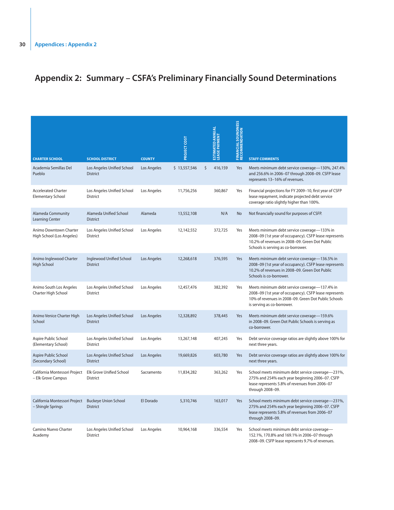# <span id="page-37-0"></span>**Appendix 2: Summary – CSFA's Preliminary Financially Sound Determinations**

| <b>CHARTER SCHOOL</b>                                  | <b>SCHOOL DISTRICT</b>                         | <b>COUNTY</b> | <b>PROJECT COST</b> | ESTIMATED ANNUAL<br>LEASE PAYMENT |         | <b>FINANCIAL SOUNDNESS<br/>RECOMMENDATION</b> | <b>STAFF COMMENTS</b>                                                                                                                                                                         |
|--------------------------------------------------------|------------------------------------------------|---------------|---------------------|-----------------------------------|---------|-----------------------------------------------|-----------------------------------------------------------------------------------------------------------------------------------------------------------------------------------------------|
| Academia Semillas Del<br>Pueblo                        | Los Angeles Unified School<br><b>District</b>  | Los Angeles   | \$13,557,546<br>\$  |                                   | 416,159 | Yes                                           | Meets minimum debt service coverage—130%, 247.4%<br>and 256.6% in 2006-07 through 2008-09. CSFP lease<br>represents 13-16% of revenues.                                                       |
| <b>Accelerated Charter</b><br><b>Elementary School</b> | Los Angeles Unified School<br><b>District</b>  | Los Angeles   | 11,756,256          |                                   | 360,867 | Yes                                           | Financial projections for FY 2009-10, first year of CSFP<br>lease repayment, indicate projected debt service<br>coverage ratio slightly higher than 100%.                                     |
| Alameda Community<br><b>Learning Center</b>            | Alameda Unified School<br><b>District</b>      | Alameda       | 13,552,108          |                                   | N/A     | No                                            | Not financially sound for purposes of CSFP.                                                                                                                                                   |
| Animo Downtown Charter<br>High School (Los Angeles)    | Los Angeles Unified School<br>District         | Los Angeles   | 12,142,552          |                                   | 372,725 | Yes                                           | Meets minimum debt service coverage-133% in<br>2008-09 (1st year of occupancy). CSFP lease represents<br>10.2% of revenues in 2008-09. Green Dot Public<br>Schools is serving as co-borrower. |
| Animo Inglewood Charter<br><b>High School</b>          | Inglewood Unified School<br><b>District</b>    | Los Angeles   | 12,268,618          |                                   | 376,595 | Yes                                           | Meets minimum debt service coverage-136.5% in<br>2008-09 (1st year of occupancy). CSFP lease represents<br>10.2% of revenues in 2008-09. Green Dot Public<br>Schools is co-borrower.          |
| Animo South Los Angeles<br>Charter High School         | Los Angeles Unified School<br><b>District</b>  | Los Angeles   | 12,457,476          |                                   | 382,392 | Yes                                           | Meets minimum debt service coverage-137.4% in<br>2008-09 (1st year of occupancy). CSFP lease represents<br>10% of revenues in 2008-09. Green Dot Public Schools<br>is serving as co-borrower. |
| Animo Venice Charter High<br>School                    | Los Angeles Unified School<br><b>District</b>  | Los Angeles   | 12,328,892          |                                   | 378,445 | Yes                                           | Meets minimum debt service coverage-159.6%<br>in 2008-09. Green Dot Public Schools is serving as<br>co-borrower.                                                                              |
| Aspire Public School<br>(Elementary School)            | Los Angeles Unified School<br><b>District</b>  | Los Angeles   | 13,267,148          |                                   | 407,245 | Yes                                           | Debt service coverage ratios are slightly above 100% for<br>next three years.                                                                                                                 |
| Aspire Public School<br>(Secondary School)             | Los Angeles Unified School<br><b>District</b>  | Los Angeles   | 19,669,826          |                                   | 603,780 | Yes                                           | Debt service coverage ratios are slightly above 100% for<br>next three years.                                                                                                                 |
| California Montessori Project<br>- Elk Grove Campus    | Elk Grove Unified School<br><b>District</b>    | Sacramento    | 11,834,282          |                                   | 363,262 | Yes                                           | School meets minimum debt service coverage-231%,<br>275% and 254% each year beginning 2006-07. CSFP<br>lease represents 5.8% of revenues from 2006-07<br>through 2008-09.                     |
| California Montessori Project<br>- Shingle Springs     | <b>Buckeye Union School</b><br><b>District</b> | El Dorado     | 5.310.746           |                                   | 163,017 | Yes                                           | School meets minimum debt service coverage-231%,<br>275% and 254% each year beginning 2006-07. CSFP<br>lease represents 5.8% of revenues from 2006-07<br>through 2008-09.                     |
| Camino Nuevo Charter<br>Academy                        | Los Angeles Unified School<br>District         | Los Angeles   | 10,964,168          |                                   | 336,554 | Yes                                           | School meets minimum debt service coverage-<br>152.1%, 170.8% and 169.1% in 2006-07 through<br>2008-09. CSFP lease represents 9.7% of revenues.                                               |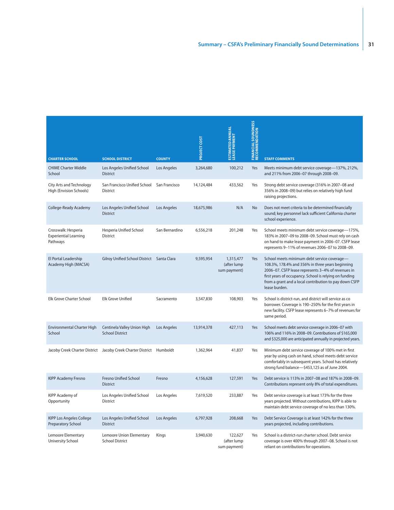| <b>CHARTER SCHOOL</b>                                           | <b>SCHOOL DISTRICT</b>                                               | <b>COUNTY</b>  | <b>PROJECT COST</b> | ESTIMATED ANNUAL<br>LEASE PAYMENT        | <b>ICIAL SOUNDNESS<br/>MMENDATION</b><br>šë<br>운뿐 | <b>STAFF COMMENTS</b>                                                                                                                                                                                                                                                                      |
|-----------------------------------------------------------------|----------------------------------------------------------------------|----------------|---------------------|------------------------------------------|---------------------------------------------------|--------------------------------------------------------------------------------------------------------------------------------------------------------------------------------------------------------------------------------------------------------------------------------------------|
| <b>CHIME Charter Middle</b><br>School                           | Los Angeles Unified School<br><b>District</b>                        | Los Angeles    | 3,264,680           | 100,212                                  | Yes                                               | Meets minimum debt service coverage—137%, 212%,<br>and 211% from 2006-07 through 2008-09.                                                                                                                                                                                                  |
| <b>City Arts and Technology</b><br>High (Envision Schools)      | San Francisco Unified School<br><b>District</b>                      | San Francisco  | 14,124,484          | 433,562                                  | Yes                                               | Strong debt service coverage (316% in 2007-08 and<br>356% in 2008-09) but relies on relatively high fund<br>raising projections.                                                                                                                                                           |
| College-Ready Academy                                           | Los Angeles Unified School<br><b>District</b>                        | Los Angeles    | 18,675,986          | N/A                                      | No                                                | Does not meet criteria to be determined financially<br>sound; key personnel lack sufficient California charter<br>school experience.                                                                                                                                                       |
| Crosswalk: Hesperia<br><b>Experiential Learning</b><br>Pathways | Hesperia Unified School<br>District                                  | San Bernardino | 6,556,218           | 201,248                                  | Yes                                               | School meets minimum debt service coverage-175%,<br>183% in 2007-09 to 2008-09. School must rely on cash<br>on hand to make lease payment in 2006-07. CSFP lease<br>represents 9-11% of revenues 2006-07 to 2008-09.                                                                       |
| El Portal Leadership<br>Academy High (MACSA)                    | Gilroy Unified School District Santa Clara                           |                | 9,595,954           | 1,315,477<br>(after lump<br>sum payment) | Yes                                               | School meets minimum debt service coverage-<br>108.3%, 178.4% and 356% in three years beginning<br>2006-07. CSFP lease represents 3-4% of revenues in<br>first years of occupancy. School is relying on funding<br>from a grant and a local contribution to pay down CSFP<br>lease burden. |
| Elk Grove Charter School                                        | <b>Elk Grove Unified</b>                                             | Sacramento     | 3,547,830           | 108,903                                  | Yes                                               | School is district-run, and district will service as co<br>borrower. Coverage is 190-250% for the first years in<br>new facility. CSFP lease represents 6-7% of revenues for<br>same period.                                                                                               |
| Environmental Charter High<br>School                            | Centinela Valley Union High<br><b>School District</b>                | Los Angeles    | 13,914,378          | 427,113                                  | Yes                                               | School meets debt service coverage in 2006-07 with<br>106% and 116% in 2008-09. Contributions of \$165,000<br>and \$325,000 are anticipated annually in projected years.                                                                                                                   |
|                                                                 | Jacoby Creek Charter District Jacoby Creek Charter District Humboldt |                | 1,362,964           | 41,837                                   | Yes                                               | Minimum debt service coverage of 100% met in first<br>year by using cash on hand, school meets debt service<br>comfortably in subsequent years. School has relatively<br>strong fund balance-\$453,125 as of June 2004.                                                                    |
| <b>KIPP Academy Fresno</b>                                      | <b>Fresno Unified School</b><br><b>District</b>                      | Fresno         | 4,156,628           | 127,591                                  | Yes                                               | Debt service is 113% in 2007-08 and 187% in 2008-09.<br>Contributions represent only 8% of total expenditures.                                                                                                                                                                             |
| KIPP Academy of<br>Opportunity                                  | Los Angeles Unified School<br>District                               | Los Angeles    | 7,619,520           | 233,887                                  | Yes                                               | Debt service coverage is at least 173% for the three<br>years projected. Without contributions, KIPP is able to<br>maintain debt service coverage of no less than 130%.                                                                                                                    |
| KIPP Los Angeles College<br><b>Preparatory School</b>           | Los Angeles Unified School<br><b>District</b>                        | Los Angeles    | 6,797,928           | 208,668                                  | Yes                                               | Debt Service Coverage is at least 142% for the three<br>years projected, including contributions.                                                                                                                                                                                          |
| Lemoore Elementary<br>University School                         | Lemoore Union Elementary<br><b>School District</b>                   | Kings          | 3,940,630           | 122,627<br>(after lump<br>sum payment)   | Yes                                               | School is a district-run charter school. Debt service<br>coverage is over 400% through 2007-08. School is not<br>reliant on contributions for operations.                                                                                                                                  |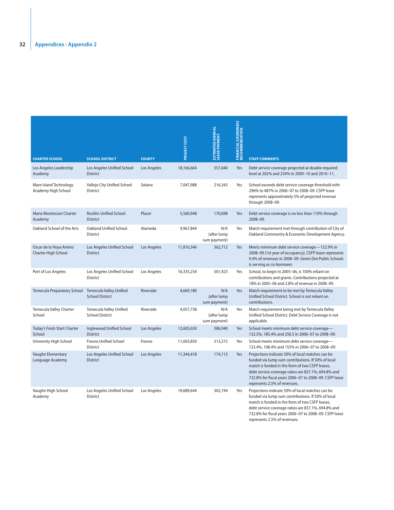| <b>CHARTER SCHOOL</b>                                | <b>SCHOOL DISTRICT</b>                                   | <b>COUNTY</b> | <b>PROJECT COST</b> | ESTIMATED ANNUAL<br>LEASE PAYMENT  | <b>FINANCIAL SOUNDNESS</b><br>RECOMMENDATION | <b>STAFF COMMENTS</b>                                                                                                                                                                                                                                                                                      |
|------------------------------------------------------|----------------------------------------------------------|---------------|---------------------|------------------------------------|----------------------------------------------|------------------------------------------------------------------------------------------------------------------------------------------------------------------------------------------------------------------------------------------------------------------------------------------------------------|
| Los Angeles Leadership<br>Academy                    | Los Angeles Unified School<br><b>District</b>            | Los Angeles   | 18,166,664          | 557,640                            | Yes                                          | Debt service coverage projected at double required<br>level at 202% and 234% in 2009-10 and 2010-11.                                                                                                                                                                                                       |
| Mare Island Technology<br>Academy High School        | Vallejo City Unified School<br><b>District</b>           | Solano        | 7.047.988           | 216.343                            | Yes                                          | School exceeds debt service coverage threshold with<br>296% to 487% in 2006-07 to 2008-09. CSFP lease<br>represents approximately 5% of projected revenue<br>through 2008-09.                                                                                                                              |
| Maria Montessori Charter<br>Academy                  | <b>Rocklin Unified School</b><br><b>District</b>         | Placer        | 5,560,948           | 170,698                            | Yes                                          | Debt service coverage is no less than 110% through<br>$2008 - 09.$                                                                                                                                                                                                                                         |
| Oakland School of the Arts                           | Oakland Unified School<br><b>District</b>                | Alameda       | 9,967,844           | N/A<br>(after lump<br>sum payment) | Yes                                          | Match requirement met through contribution of City of<br>Oakland Community & Economic Development Agency.                                                                                                                                                                                                  |
| Oscar de la Hoya Animo<br><b>Charter High School</b> | Los Angeles Unified School<br><b>District</b>            | Los Angeles   | 11,816,346          | 362,712                            | Yes                                          | Meets minimum debt service coverage-132.9% in<br>2008-09 (1st year of occupancy). CSFP lease represents<br>9.4% of revenues in 2008-09. Green Dot Public Schools<br>is serving as co-borrower.                                                                                                             |
| Port of Los Angeles                                  | Los Angeles Unified School<br>District                   | Los Angeles   | 16,335,234          | 501,423                            | Yes                                          | School, to begin in 2005-06, is 100% reliant on<br>contributions and grants. Contributions projected at<br>18% in 2005-06 and 2.8% of revenue in 2008-09.                                                                                                                                                  |
| <b>Temecula Preparatory School</b>                   | <b>Temecula Valley Unified</b><br><b>School District</b> | Riverside     | 4,669,180           | N/A<br>(after lump<br>sum payment) | Yes                                          | Match requirement to be met by Temecula Valley<br>Unified School District. School is not reliant on<br>contributions.                                                                                                                                                                                      |
| <b>Temecula Valley Charter</b><br>School             | <b>Temecula Valley Unified</b><br><b>School District</b> | Riverside     | 4,057,738           | N/A<br>(after lump<br>sum payment) | Yes                                          | Match requirement being met by Temecula Valley<br>Unified School District. Debt Service Coverage is not<br>applicable.                                                                                                                                                                                     |
| <b>Today's Fresh Start Charter</b><br>School         | Inglewood Unified School<br><b>District</b>              | Los Angeles   | 12,605,650          | 386,940                            | Yes                                          | School meets minimum debt service coverage-<br>132.5%, 185.4% and 256.5 in 2006-07 to 2008-09.                                                                                                                                                                                                             |
| University High School                               | Fresno Unified School<br><b>District</b>                 | Fresno        | 11,603,850          | 313,215                            | Yes                                          | School meets minimum debt service coverage-<br>123.4%, 108.4% and 155% in 2006-07 to 2008-09.                                                                                                                                                                                                              |
| Vaughn Elementary<br>Language Academy                | Los Angeles Unified School<br><b>District</b>            | Los Angeles   | 11,344,418          | 174,113                            | Yes                                          | Projections indicate 50% of local matches can be<br>funded via lump sum contributions. If 50% of local<br>match is funded in the form of two CSFP leases,<br>debt service coverage ratios are 837.1%, 694.8% and<br>732.8% for fiscal years 2006-07 to 2008-09. CSFP lease<br>represents 2.5% of revenues. |
| Vaughn High School<br>Academy                        | Los Angeles Unified School<br><b>District</b>            | Los Angeles   | 19,689,644          | 302,194                            | Yes                                          | Projections indicate 50% of local matches can be<br>funded via lump sum contributions. If 50% of local<br>match is funded in the form of two CSFP leases.<br>debt service coverage ratios are 837.1%, 694.8% and                                                                                           |

732.8% for fiscal years 2006–07 to 2008–09. CSFP lease

represents 2.5% of revenues.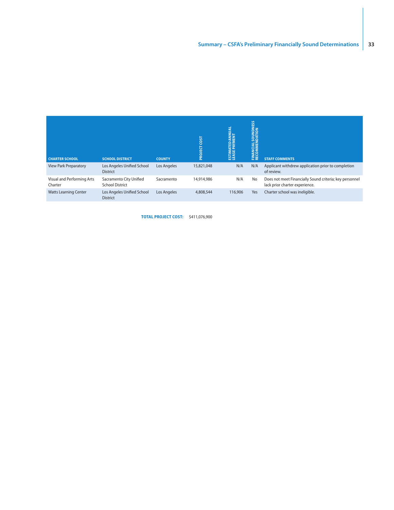| <b>CHARTER SCHOOL</b>                 | <b>SCHOOL DISTRICT</b>                            | <b>COUNTY</b> | <b>PROJECT COST</b> | ESTIMATED ANNUA<br>LEASE PAYMENT | ပ္ပ<br><b>NONE</b><br>c<br>FINAN | <b>STAFF COMMENTS</b>                                                                     |
|---------------------------------------|---------------------------------------------------|---------------|---------------------|----------------------------------|----------------------------------|-------------------------------------------------------------------------------------------|
| <b>View Park Preparatory</b>          | Los Angeles Unified School<br><b>District</b>     | Los Angeles   | 15,821,048          | N/A                              | N/A                              | Applicant withdrew application prior to completion<br>of review.                          |
| Visual and Performing Arts<br>Charter | Sacramento City Unified<br><b>School District</b> | Sacramento    | 14,914,986          | N/A                              | No                               | Does not meet Financially Sound criteria; key personnel<br>lack prior charter experience. |
| <b>Watts Learning Center</b>          | Los Angeles Unified School<br><b>District</b>     | Los Angeles   | 4,808,544           | 116,906                          | Yes                              | Charter school was ineligible.                                                            |

**TOTAL PROJECT COST:** \$411,076,900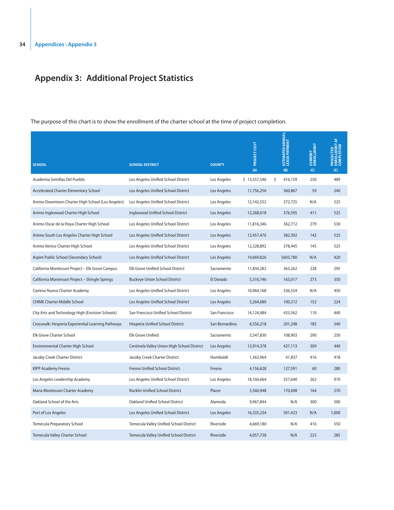# <span id="page-41-0"></span>**Appendix 3: Additional Project Statistics**

The purpose of this chart is to show the enrollment of the charter school at the time of project completion.

|                                                    |                                             |                | <b>PROJECT COST</b> | <b>ESTIMATED ANNUAL<br/>LEASE PAYMENT</b> | <b>CURRENT<br/>ENROLLMENT</b> | হ<br><b>PROJECTED<br/>ENROLLMENT A</b><br>COMPLETION |
|----------------------------------------------------|---------------------------------------------|----------------|---------------------|-------------------------------------------|-------------------------------|------------------------------------------------------|
| <b>SCHOOL</b>                                      | <b>SCHOOL DISTRICT</b>                      | <b>COUNTY</b>  | (A)                 | (B)                                       | (C)                           | (C)                                                  |
| Academia Semillas Del Pueblo                       | Los Angeles Unified School District         | Los Angeles    | \$13,557,546        | \$<br>416,159                             | 250                           | 489                                                  |
| Accelerated Charter Elementary School              | Los Angeles Unified School District         | Los Angeles    | 11,756,256          | 360,867                                   | 59                            | 240                                                  |
| Animo Downtown Charter High School (Los Angeles)   | Los Angeles Unified School District         | Los Angeles    | 12,142,552          | 372,725                                   | N/A                           | 525                                                  |
| Animo Inglewood Charter High School                | Inglewood Unified School District           | Los Angeles    | 12,268,618          | 376,595                                   | 411                           | 525                                                  |
| Animo Oscar de la Hoya Charter High School         | Los Angeles Unified School District         | Los Angeles    | 11,816,346          | 362,712                                   | 279                           | 530                                                  |
| Animo South Los Angeles Charter High School        | Los Angeles Unified School District         | Los Angeles    | 12,457,476          | 382,392                                   | 142                           | 525                                                  |
| Animo Venice Charter High School                   | Los Angeles Unified School District         | Los Angeles    | 12,328,892          | 378,445                                   | 145                           | 525                                                  |
| Aspire Public School (Secondary School)            | Los Angeles Unified School District         | Los Angeles    | 19,669,826          | \$603,780                                 | N/A                           | 420                                                  |
| California Montessori Project - Elk Grove Campus   | Elk Grove Unified School District           | Sacramento     | 11,834,282          | 363,262                                   | 228                           | 295                                                  |
| California Montessori Project - Shingle Springs    | <b>Buckeye Union School District</b>        | El Dorado      | 5,310,746           | 163,017                                   | 273                           | 350                                                  |
| Camino Nuevo Charter Academy                       | Los Angeles Unified School District         | Los Angeles    | 10,964,168          | 336,554                                   | N/A                           | 450                                                  |
| <b>CHIME Charter Middle School</b>                 | Los Angeles Unified School District         | Los Angeles    | 3,264,680           | 100,212                                   | 152                           | 224                                                  |
| City Arts and Technology High (Envision Schools)   | San Francisco Unified School District       | San Francisco  | 14,124,484          | 433,562                                   | 110                           | 440                                                  |
| Crosswalk: Hesperia Experiential Learning Pathways | Hesperia Unified School District            | San Bernardino | 6,556,218           | 201,248                                   | 185                           | 340                                                  |
| <b>Elk Grove Charter School</b>                    | <b>Elk Grove Unified</b>                    | Sacramento     | 3,547,830           | 108,903                                   | 290                           | 250                                                  |
| Environmental Charter High School                  | Centinela Valley Union High School District | Los Angeles    | 13,914,378          | 427,113                                   | 309                           | 440                                                  |
| Jacoby Creek Charter District                      | Jacoby Creek Charter District               | Humboldt       | 1,362,964           | 41,837                                    | 416                           | 418                                                  |
| <b>KIPP Academy Fresno</b>                         | Fresno Unified School District              | Fresno         | 4,156,628           | 127,591                                   | 60                            | 280                                                  |
| Los Angeles Leadership Academy                     | Los Angeles Unified School District         | Los Angeles    | 18,166,664          | 557,640                                   | 262                           | 910                                                  |
| Maria Montessori Charter Academy                   | <b>Rocklin Unified School District</b>      | Placer         | 5,560,948           | 170,698                                   | 164                           | 270                                                  |
| Oakland School of the Arts                         | Oakland Unified School District             | Alameda        | 9,967,844           | N/A                                       | 300                           | 500                                                  |
| Port of Los Angeles                                | Los Angeles Unified School District         | Los Angeles    | 16,335,234          | 501,423                                   | N/A                           | 1,000                                                |
| Temecula Preparatory School                        | Temecula Valley Unified School District     | Riverside      | 4,669,180           | N/A                                       | 416                           | 550                                                  |
| <b>Temecula Valley Charter School</b>              | Temecula Valley Unified School District     | Riverside      | 4,057,738           | N/A                                       | 225                           | 285                                                  |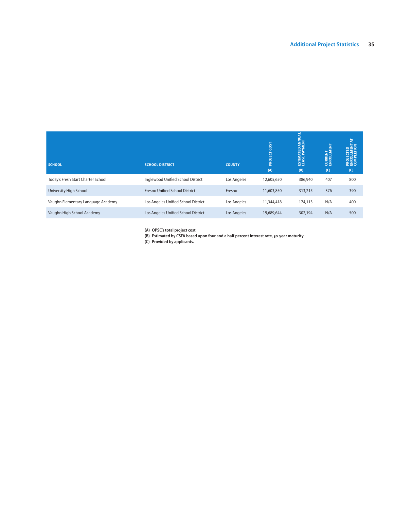| <b>SCHOOL</b>                      | <b>SCHOOL DISTRICT</b>                | <b>COUNTY</b> | <b>COST</b><br>PROJEC<br>(A) | ESTIMATED ANNUAL<br>LEASE PAYMENT<br>(B) | <b>CURRENT</b><br>ENROLLMENT<br>(C) | 능<br><b>PROJECTEI<br/>ENROLLME</b><br>COMPLETIC<br>(C) |
|------------------------------------|---------------------------------------|---------------|------------------------------|------------------------------------------|-------------------------------------|--------------------------------------------------------|
| Today's Fresh Start Charter School | Inglewood Unified School District     | Los Angeles   | 12,605,650                   | 386,940                                  | 407                                 | 800                                                    |
| University High School             | <b>Fresno Unified School District</b> | Fresno        | 11,603,850                   | 313,215                                  | 376                                 | 390                                                    |
| Vaughn Elementary Language Academy | Los Angeles Unified School District   | Los Angeles   | 11,344,418                   | 174.113                                  | N/A                                 | 400                                                    |
| Vaughn High School Academy         | Los Angeles Unified School District   | Los Angeles   | 19,689,644                   | 302,194                                  | N/A                                 | 500                                                    |

**(A) OPSC's total project cost.**

(B) Estimated by CSFA based upon four and a half percent interest rate, 30-year maturity.

**(C) Provided by applicants.**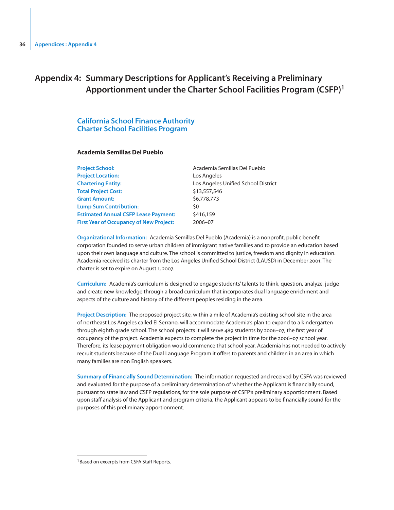## <span id="page-43-0"></span>**Appendix 4: Summary Descriptions for Applicant's Receiving a Preliminary Apportionment under the Charter School Facilities Program (CSFP)1**

## **California School Finance Authority Charter School Facilities Program**

## **Academia Semillas Del Pueblo**

| <b>Project School:</b>                         | Academia Semillas Del Pueblo        |
|------------------------------------------------|-------------------------------------|
| <b>Project Location:</b>                       | Los Angeles                         |
| <b>Chartering Entity:</b>                      | Los Angeles Unified School District |
| <b>Total Project Cost:</b>                     | \$13,557,546                        |
| <b>Grant Amount:</b>                           | \$6,778,773                         |
| <b>Lump Sum Contribution:</b>                  | \$0                                 |
| <b>Estimated Annual CSFP Lease Payment:</b>    | \$416,159                           |
| <b>First Year of Occupancy of New Project:</b> | 2006-07                             |

**Organizational Information:** Academia Semillas Del Pueblo (Academia) is a nonprofit, public benefit corporation founded to serve urban children of immigrant native families and to provide an education based upon their own language and culture. The school is committed to justice, freedom and dignity in education. Academia received its charter from the Los Angeles Unified School District (LAUSD) in December 2001. The charter is set to expire on August 1, 2007.

**Curriculum:** Academia's curriculum is designed to engage students' talents to think, question, analyze, judge and create new knowledge through a broad curriculum that incorporates dual language enrichment and aspects of the culture and history of the different peoples residing in the area.

**Project Description:** The proposed project site, within a mile of Academia's existing school site in the area of northeast Los Angeles called El Serrano, will accommodate Academia's plan to expand to a kindergarten through eighth grade school. The school projects it will serve 489 students by 2006-07, the first year of occupancy of the project. Academia expects to complete the project in time for the 2006–07 school year. Therefore, its lease payment obligation would commence that school year. Academia has not needed to actively recruit students because of the Dual Language Program it offers to parents and children in an area in which many families are non English speakers.

<sup>&</sup>lt;sup>1</sup> Based on excerpts from CSFA Staff Reports.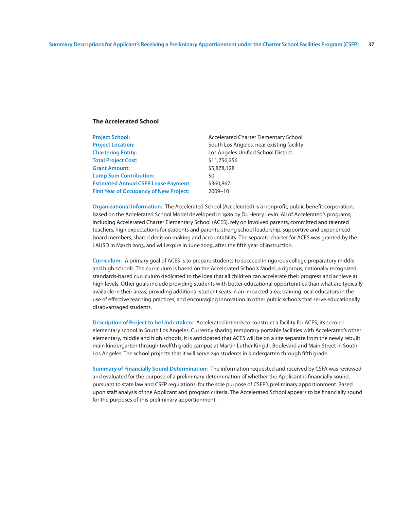### **The Accelerated School**

| <b>Project School:</b>                         | Accelerated Charter Elementary School     |
|------------------------------------------------|-------------------------------------------|
| <b>Project Location:</b>                       | South Los Angeles, near existing facility |
| <b>Chartering Entity:</b>                      | Los Angeles Unified School District       |
| <b>Total Project Cost:</b>                     | \$11,756,256                              |
| <b>Grant Amount:</b>                           | \$5,878,128                               |
| <b>Lump Sum Contribution:</b>                  | \$0                                       |
| <b>Estimated Annual CSFP Lease Payment:</b>    | \$360,867                                 |
| <b>First Year of Occupancy of New Project:</b> | $2009 - 10$                               |
|                                                |                                           |

**Organizational Information:** The Accelerated School (Accelerated) is a nonprofit, public benefit corporation, based on the Accelerated School Model developed in 1986 by Dr. Henry Levin. All of Accelerated's programs, including Accelerated Charter Elementary School (ACES), rely on involved parents, committed and talented teachers, high expectations for students and parents, strong school leadership, supportive and experienced board members, shared decision making and accountability. The separate charter for ACES was granted by the LAUSD in March 2003, and will expire in June 2009, after the fifth year of instruction.

**Curriculum:** A primary goal of ACES is to prepare students to succeed in rigorous college preparatory middle and high schools. The curriculum is based on the Accelerated Schools Model, a rigorous, nationally recognized standards-based curriculum dedicated to the idea that all children can accelerate their progress and achieve at high levels. Other goals include providing students with better educational opportunities than what are typically available in their areas; providing additional student seats in an impacted area; training local educators in the use of effective teaching practices; and encouraging innovation in other public schools that serve educationally disadvantaged students.

**Description of Project to be Undertaken:** Accelerated intends to construct a facility for ACES, its second elementary school in South Los Angeles. Currently sharing temporary portable facilities with Accelerated's other elementary, middle and high schools, it is anticipated that ACES will be on a site separate from the newly rebuilt main kindergarten through twelfth grade campus at Martin Luther King Jr. Boulevard and Main Street in South Los Angeles. The school projects that it will serve 240 students in kindergarten through fifth grade.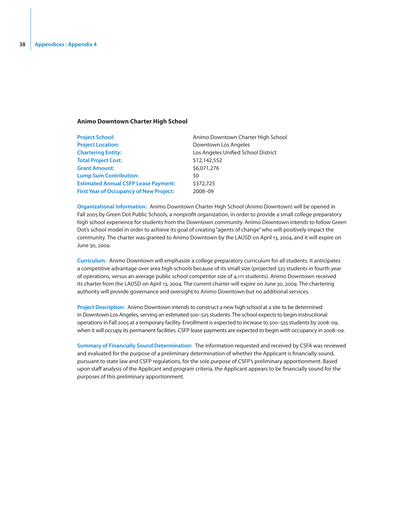## **Animo Downtown Charter High School**

| <b>Project School:</b>                         | Animo Downtown Charter High School  |
|------------------------------------------------|-------------------------------------|
| <b>Project Location:</b>                       | Downtown Los Angeles                |
| <b>Chartering Entity:</b>                      | Los Angeles Unified School District |
| <b>Total Project Cost:</b>                     | \$12,142,552                        |
| <b>Grant Amount:</b>                           | \$6,071,276                         |
| <b>Lump Sum Contribution:</b>                  | \$0                                 |
| <b>Estimated Annual CSFP Lease Payment:</b>    | \$372,725                           |
| <b>First Year of Occupancy of New Project:</b> | 2008-09                             |
|                                                |                                     |

**Organizational Information:** Animo Downtown Charter High School (Animo Downtown) will be opened in Fall 2005 by Green Dot Public Schools, a nonprofit organization, in order to provide a small college preparatory high school experience for students from the Downtown community. Animo Downtown intends to follow Green Dot's school model in order to achieve its goal of creating "agents of change" who will positively impact the community. The charter was granted to Animo Downtown by the LAUSD on April 13, 2004, and it will expire on June 30, 2009.

**Curriculum:** Animo Downtown will emphasize a college preparatory curriculum for all students. It anticipates a competitive advantage over area high schools because of its small size (projected 525 students in fourth year of operations, versus an average public school competitor size of 4,111 students). Animo Downtown received its charter from the LAUSD on April 13, 2004. The current charter will expire on June 30, 2009. The chartering authority will provide governance and oversight to Animo Downtown but no additional services.

**Project Description:** Animo Downtown intends to construct a new high school at a site to be determined in Downtown Los Angeles, serving an estimated 500-525 students. The school expects to begin instructional operations in Fall 2005 at a temporary facility. Enrollment is expected to increase to 500-525 students by 2008-09, when it will occupy its permanent facilities. CSFP lease payments are expected to begin with occupancy in 2008-09.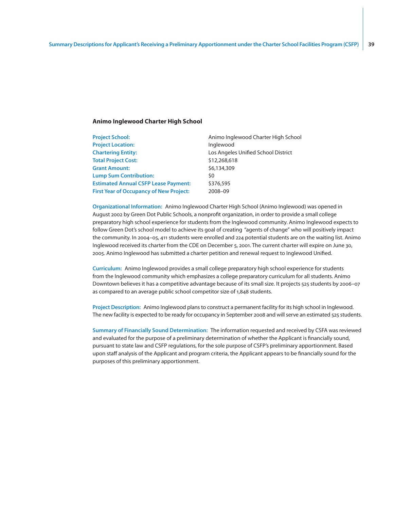### **Animo Inglewood Charter High School**

| <b>Project School:</b>                         | Animo Inglewood Charter High School |
|------------------------------------------------|-------------------------------------|
| <b>Project Location:</b>                       | Inglewood                           |
| <b>Chartering Entity:</b>                      | Los Angeles Unified School District |
| <b>Total Project Cost:</b>                     | \$12,268,618                        |
| <b>Grant Amount:</b>                           | \$6,134,309                         |
| <b>Lump Sum Contribution:</b>                  | \$0                                 |
| <b>Estimated Annual CSFP Lease Payment:</b>    | \$376,595                           |
| <b>First Year of Occupancy of New Project:</b> | 2008-09                             |
|                                                |                                     |

**Organizational Information:** Animo Inglewood Charter High School (Animo Inglewood) was opened in August 2002 by Green Dot Public Schools, a nonprofit organization, in order to provide a small college preparatory high school experience for students from the Inglewood community. Animo Inglewood expects to follow Green Dot's school model to achieve its goal of creating "agents of change" who will positively impact the community. In 2004-05, 411 students were enrolled and 224 potential students are on the waiting list. Animo Inglewood received its charter from the CDE on December 5, 2001. The current charter will expire on June 30, . Animo Inglewood has submitted a charter petition and renewal request to Inglewood Unified.

**Curriculum:** Animo Inglewood provides a small college preparatory high school experience for students from the Inglewood community which emphasizes a college preparatory curriculum for all students. Animo Downtown believes it has a competitive advantage because of its small size. It projects 525 students by 2006-07 as compared to an average public school competitor size of 1,848 students.

**Project Description:** Animo Inglewood plans to construct a permanent facility for its high school in Inglewood. The new facility is expected to be ready for occupancy in September 2008 and will serve an estimated 525 students.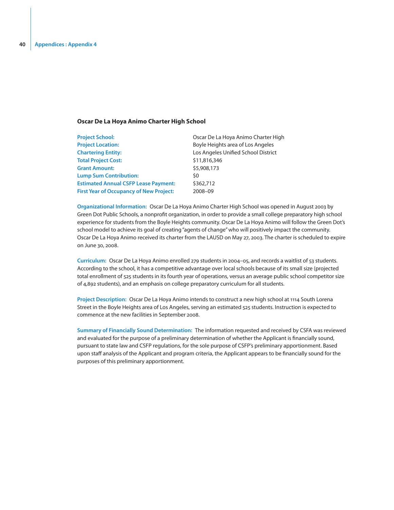## **Oscar De La Hoya Animo Charter High School**

| <b>Project School:</b>                         | Oscar De La Hoya Animo Charter High |
|------------------------------------------------|-------------------------------------|
| <b>Project Location:</b>                       | Boyle Heights area of Los Angeles   |
| <b>Chartering Entity:</b>                      | Los Angeles Unified School District |
| <b>Total Project Cost:</b>                     | \$11,816,346                        |
| <b>Grant Amount:</b>                           | \$5,908,173                         |
| <b>Lump Sum Contribution:</b>                  | \$0                                 |
| <b>Estimated Annual CSFP Lease Payment:</b>    | \$362,712                           |
| <b>First Year of Occupancy of New Project:</b> | 2008-09                             |

**Organizational Information:** Oscar De La Hoya Animo Charter High School was opened in August by Green Dot Public Schools, a nonprofit organization, in order to provide a small college preparatory high school experience for students from the Boyle Heights community. Oscar De La Hoya Animo will follow the Green Dot's school model to achieve its goal of creating "agents of change" who will positively impact the community. Oscar De La Hoya Animo received its charter from the LAUSD on May 27, 2003. The charter is scheduled to expire on June 30, 2008.

Curriculum: Oscar De La Hoya Animo enrolled 279 students in 2004-05, and records a waitlist of 53 students. According to the school, it has a competitive advantage over local schools because of its small size (projected total enrollment of 525 students in its fourth year of operations, versus an average public school competitor size of 4,892 students), and an emphasis on college preparatory curriculum for all students.

Project Description: Oscar De La Hoya Animo intends to construct a new high school at 1114 South Lorena Street in the Boyle Heights area of Los Angeles, serving an estimated 525 students. Instruction is expected to commence at the new facilities in September 2008.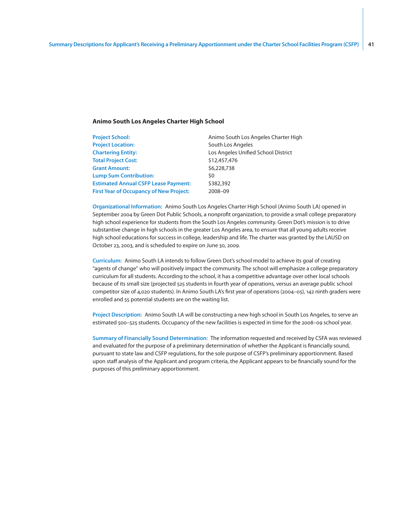#### **Animo South Los Angeles Charter High School**

| Animo South Los Angeles Charter High |
|--------------------------------------|
| South Los Angeles                    |
| Los Angeles Unified School District  |
| \$12,457,476                         |
| \$6,228,738                          |
|                                      |
| \$382,392                            |
| 2008-09                              |
|                                      |

**Organizational Information:** Animo South Los Angeles Charter High School (Animo South LA) opened in September 2004 by Green Dot Public Schools, a nonprofit organization, to provide a small college preparatory high school experience for students from the South Los Angeles community. Green Dot's mission is to drive substantive change in high schools in the greater Los Angeles area, to ensure that all young adults receive high school educations for success in college, leadership and life. The charter was granted by the LAUSD on October 23, 2003, and is scheduled to expire on June 30, 2009.

**Curriculum:** Animo South LA intends to follow Green Dot's school model to achieve its goal of creating "agents of change" who will positively impact the community. The school will emphasize a college preparatory curriculum for all students. According to the school, it has a competitive advantage over other local schools because of its small size (projected 525 students in fourth year of operations, versus an average public school competitor size of 4,020 students). In Animo South LA's first year of operations (2004–05), 142 ninth graders were enrolled and 55 potential students are on the waiting list.

**Project Description:** Animo South LA will be constructing a new high school in South Los Angeles, to serve an estimated 500-525 students. Occupancy of the new facilities is expected in time for the 2008-09 school year.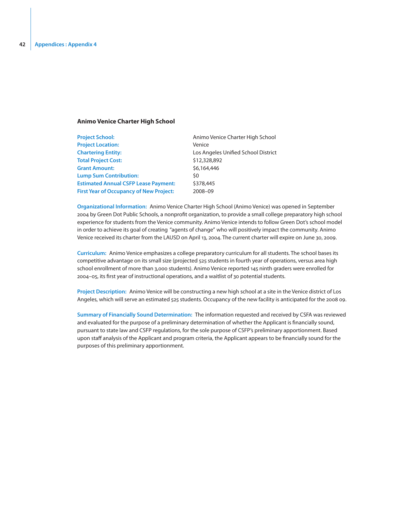### **Animo Venice Charter High School**

| <b>Project School:</b>                         | Animo Venice Charter High School    |
|------------------------------------------------|-------------------------------------|
| <b>Project Location:</b>                       | Venice                              |
| <b>Chartering Entity:</b>                      | Los Angeles Unified School District |
| <b>Total Project Cost:</b>                     | \$12,328,892                        |
| <b>Grant Amount:</b>                           | \$6,164,446                         |
| <b>Lump Sum Contribution:</b>                  | \$0                                 |
| <b>Estimated Annual CSFP Lease Payment:</b>    | \$378,445                           |
| <b>First Year of Occupancy of New Project:</b> | 2008-09                             |

**Organizational Information:** Animo Venice Charter High School (Animo Venice) was opened in September by Green Dot Public Schools, a nonprofit organization, to provide a small college preparatory high school experience for students from the Venice community. Animo Venice intends to follow Green Dot's school model in order to achieve its goal of creating "agents of change" who will positively impact the community. Animo Venice received its charter from the LAUSD on April 13, 2004. The current charter will expire on June 30, 2009.

**Curriculum:** Animo Venice emphasizes a college preparatory curriculum for all students. The school bases its competitive advantage on its small size (projected 525 students in fourth year of operations, versus area high school enrollment of more than 3,000 students). Animo Venice reported 145 ninth graders were enrolled for 2004-05, its first year of instructional operations, and a waitlist of 30 potential students.

**Project Description:** Animo Venice will be constructing a new high school at a site in the Venice district of Los Angeles, which will serve an estimated 525 students. Occupancy of the new facility is anticipated for the 2008 09.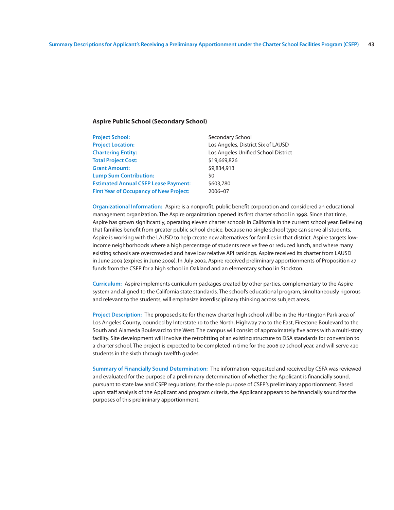## **Aspire Public School (Secondary School)**

| Secondary School                    |
|-------------------------------------|
| Los Angeles, District Six of LAUSD  |
| Los Angeles Unified School District |
| \$19,669,826                        |
| \$9,834,913                         |
| \$0                                 |
| \$603,780                           |
| 2006-07                             |
|                                     |

**Organizational Information:** Aspire is a nonprofit, public benefit corporation and considered an educational management organization. The Aspire organization opened its first charter school in 1998. Since that time, Aspire has grown significantly, operating eleven charter schools in California in the current school year. Believing that families benefit from greater public school choice, because no single school type can serve all students, Aspire is working with the LAUSD to help create new alternatives for families in that district. Aspire targets lowincome neighborhoods where a high percentage of students receive free or reduced lunch, and where many existing schools are overcrowded and have low relative API rankings. Aspire received its charter from LAUSD in June 2003 (expires in June 2009). In July 2003, Aspire received preliminary apportionments of Proposition 47 funds from the CSFP for a high school in Oakland and an elementary school in Stockton.

**Curriculum:** Aspire implements curriculum packages created by other parties, complementary to the Aspire system and aligned to the California state standards. The school's educational program, simultaneously rigorous and relevant to the students, will emphasize interdisciplinary thinking across subject areas.

**Project Description:** The proposed site for the new charter high school will be in the Huntington Park area of Los Angeles County, bounded by Interstate 10 to the North, Highway 710 to the East, Firestone Boulevard to the South and Alameda Boulevard to the West. The campus will consist of approximately five acres with a multi-story facility. Site development will involve the retrofitting of an existing structure to DSA standards for conversion to a charter school. The project is expected to be completed in time for the 2006 07 school year, and will serve 420 students in the sixth through twelfth grades.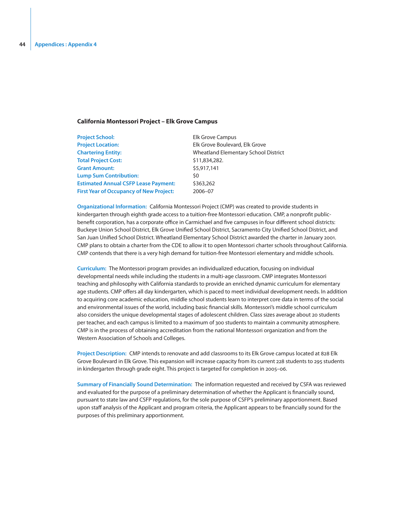#### **California Montessori Project – Elk Grove Campus**

| <b>Project School:</b>                         | <b>Elk Grove Campus</b>                     |
|------------------------------------------------|---------------------------------------------|
| <b>Project Location:</b>                       | Elk Grove Boulevard, Elk Grove              |
| <b>Chartering Entity:</b>                      | <b>Wheatland Elementary School District</b> |
| <b>Total Project Cost:</b>                     | \$11,834,282.                               |
| <b>Grant Amount:</b>                           | \$5,917,141                                 |
| <b>Lump Sum Contribution:</b>                  | \$0                                         |
| <b>Estimated Annual CSFP Lease Payment:</b>    | \$363,262                                   |
| <b>First Year of Occupancy of New Project:</b> | 2006-07                                     |

**Organizational Information:** California Montessori Project (CMP) was created to provide students in kindergarten through eighth grade access to a tuition-free Montessori education. CMP, a nonprofit publicbenefit corporation, has a corporate office in Carmichael and five campuses in four different school districts: Buckeye Union School District, Elk Grove Unified School District, Sacramento City Unified School District, and San Juan Unified School District. Wheatland Elementary School District awarded the charter in January 2001. CMP plans to obtain a charter from the CDE to allow it to open Montessori charter schools throughout California. CMP contends that there is a very high demand for tuition-free Montessori elementary and middle schools.

**Curriculum:** The Montessori program provides an individualized education, focusing on individual developmental needs while including the students in a multi-age classroom. CMP integrates Montessori teaching and philosophy with California standards to provide an enriched dynamic curriculum for elementary age students. CMP offers all day kindergarten, which is paced to meet individual development needs. In addition to acquiring core academic education, middle school students learn to interpret core data in terms of the social and environmental issues of the world, including basic financial skills. Montessori's middle school curriculum also considers the unique developmental stages of adolescent children. Class sizes average about 20 students per teacher, and each campus is limited to a maximum of 300 students to maintain a community atmosphere. CMP is in the process of obtaining accreditation from the national Montessori organization and from the Western Association of Schools and Colleges.

Project Description: CMP intends to renovate and add classrooms to its Elk Grove campus located at 828 Elk Grove Boulevard in Elk Grove. This expansion will increase capacity from its current 228 students to 295 students in kindergarten through grade eight. This project is targeted for completion in 2005-06.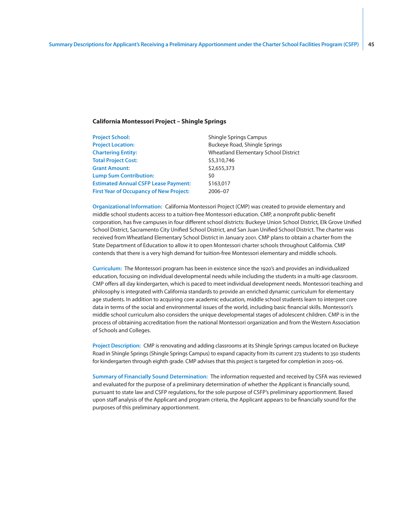#### **California Montessori Project – Shingle Springs**

| <b>Project School:</b>                         | <b>Shingle Springs Campus</b>               |
|------------------------------------------------|---------------------------------------------|
| <b>Project Location:</b>                       | Buckeye Road, Shingle Springs               |
| <b>Chartering Entity:</b>                      | <b>Wheatland Elementary School District</b> |
| <b>Total Project Cost:</b>                     | \$5,310,746                                 |
| <b>Grant Amount:</b>                           | \$2,655,373                                 |
| <b>Lump Sum Contribution:</b>                  | \$0                                         |
| <b>Estimated Annual CSFP Lease Payment:</b>    | \$163,017                                   |
| <b>First Year of Occupancy of New Project:</b> | 2006-07                                     |
|                                                |                                             |

**Organizational Information:** California Montessori Project (CMP) was created to provide elementary and middle school students access to a tuition-free Montessori education. CMP, a nonprofit public-benefit corporation, has five campuses in four different school districts: Buckeye Union School District, Elk Grove Unified School District, Sacramento City Unified School District, and San Juan Unified School District. The charter was received from Wheatland Elementary School District in January 2001. CMP plans to obtain a charter from the State Department of Education to allow it to open Montessori charter schools throughout California. CMP contends that there is a very high demand for tuition-free Montessori elementary and middle schools.

Curriculum: The Montessori program has been in existence since the 1920's and provides an individualized education, focusing on individual developmental needs while including the students in a multi-age classroom. CMP offers all day kindergarten, which is paced to meet individual development needs. Montessori teaching and philosophy is integrated with California standards to provide an enriched dynamic curriculum for elementary age students. In addition to acquiring core academic education, middle school students learn to interpret core data in terms of the social and environmental issues of the world, including basic financial skills. Montessori's middle school curriculum also considers the unique developmental stages of adolescent children. CMP is in the process of obtaining accreditation from the national Montessori organization and from the Western Association of Schools and Colleges.

**Project Description:** CMP is renovating and adding classrooms at its Shingle Springs campus located on Buckeye Road in Shingle Springs (Shingle Springs Campus) to expand capacity from its current 273 students to 350 students for kindergarten through eighth grade. CMP advises that this project is targeted for completion in 2005-06.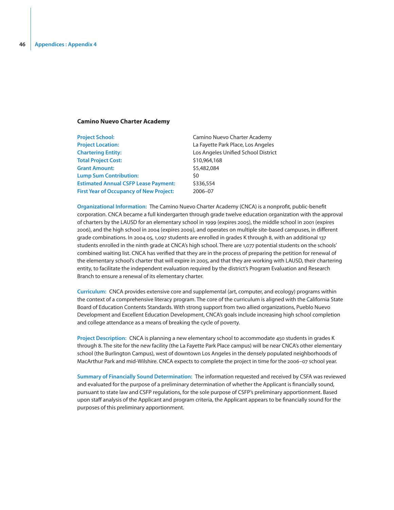### **Camino Nuevo Charter Academy**

| <b>Project School:</b>                         | Camino Nuevo Charter Academy        |
|------------------------------------------------|-------------------------------------|
| <b>Project Location:</b>                       | La Fayette Park Place, Los Angeles  |
| <b>Chartering Entity:</b>                      | Los Angeles Unified School District |
| <b>Total Project Cost:</b>                     | \$10,964,168                        |
| <b>Grant Amount:</b>                           | \$5,482,084                         |
| <b>Lump Sum Contribution:</b>                  | \$0                                 |
| <b>Estimated Annual CSFP Lease Payment:</b>    | \$336,554                           |
| <b>First Year of Occupancy of New Project:</b> | 2006-07                             |

**Organizational Information:** The Camino Nuevo Charter Academy (CNCA) is a nonprofit, public-benefit corporation. CNCA became a full kindergarten through grade twelve education organization with the approval of charters by the LAUSD for an elementary school in 1999 (expires 2005), the middle school in 2001 (expires 2006), and the high school in 2004 (expires 2009), and operates on multiple site-based campuses, in different grade combinations. In 2004 05, 1,097 students are enrolled in grades K through 8, with an additional 137 students enrolled in the ninth grade at CNCA's high school. There are 1,077 potential students on the schools' combined waiting list. CNCA has verified that they are in the process of preparing the petition for renewal of the elementary school's charter that will expire in 2005, and that they are working with LAUSD, their chartering entity, to facilitate the independent evaluation required by the district's Program Evaluation and Research Branch to ensure a renewal of its elementary charter.

**Curriculum:** CNCA provides extensive core and supplemental (art, computer, and ecology) programs within the context of a comprehensive literacy program. The core of the curriculum is aligned with the California State Board of Education Contents Standards. With strong support from two allied organizations, Pueblo Nuevo Development and Excellent Education Development, CNCA's goals include increasing high school completion and college attendance as a means of breaking the cycle of poverty.

**Project Description:** CNCA is planning a new elementary school to accommodate 450 students in grades K through 8. The site for the new facility (the La Fayette Park Place campus) will be near CNCA's other elementary school (the Burlington Campus), west of downtown Los Angeles in the densely populated neighborhoods of MacArthur Park and mid-Wilshire. CNCA expects to complete the project in time for the 2006-07 school year.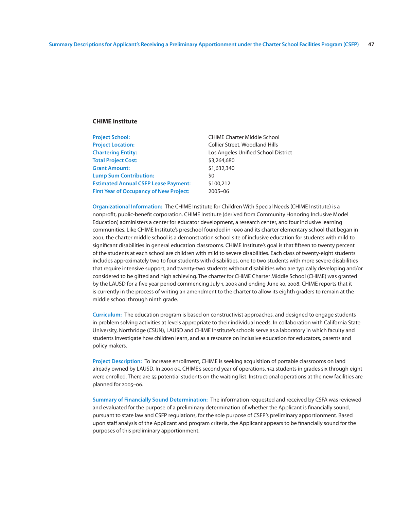#### **CHIME Institute**

| <b>Project School:</b>                         | <b>CHIME Charter Middle School</b>    |
|------------------------------------------------|---------------------------------------|
| <b>Project Location:</b>                       | <b>Collier Street, Woodland Hills</b> |
| <b>Chartering Entity:</b>                      | Los Angeles Unified School District   |
| <b>Total Project Cost:</b>                     | \$3,264,680                           |
| <b>Grant Amount:</b>                           | \$1,632,340                           |
| <b>Lump Sum Contribution:</b>                  | \$0                                   |
| <b>Estimated Annual CSFP Lease Payment:</b>    | \$100,212                             |
| <b>First Year of Occupancy of New Project:</b> | $2005 - 06$                           |
|                                                |                                       |

**Organizational Information:** The CHIME Institute for Children With Special Needs (CHIME Institute) is a nonprofit, public-benefit corporation. CHIME Institute (derived from Community Honoring Inclusive Model Education) administers a center for educator development, a research center, and four inclusive learning communities. Like CHIME Institute's preschool founded in 1990 and its charter elementary school that began in , the charter middle school is a demonstration school site of inclusive education for students with mild to significant disabilities in general education classrooms. CHIME Institute's goal is that fifteen to twenty percent of the students at each school are children with mild to severe disabilities. Each class of twenty-eight students includes approximately two to four students with disabilities, one to two students with more severe disabilities that require intensive support, and twenty-two students without disabilities who are typically developing and/or considered to be gifted and high achieving. The charter for CHIME Charter Middle School (CHIME) was granted by the LAUSD for a five year period commencing July 1, 2003 and ending June 30, 2008. CHIME reports that it is currently in the process of writing an amendment to the charter to allow its eighth graders to remain at the middle school through ninth grade.

**Curriculum:** The education program is based on constructivist approaches, and designed to engage students in problem solving activities at levels appropriate to their individual needs. In collaboration with California State University, Northridge (CSUN), LAUSD and CHIME Institute's schools serve as a laboratory in which faculty and students investigate how children learn, and as a resource on inclusive education for educators, parents and policy makers.

**Project Description:** To increase enrollment, CHIME is seeking acquisition of portable classrooms on land already owned by LAUSD. In 2004 05, CHIME's second year of operations, 152 students in grades six through eight were enrolled. There are 55 potential students on the waiting list. Instructional operations at the new facilities are  $planned$  for  $2005 - 06$ .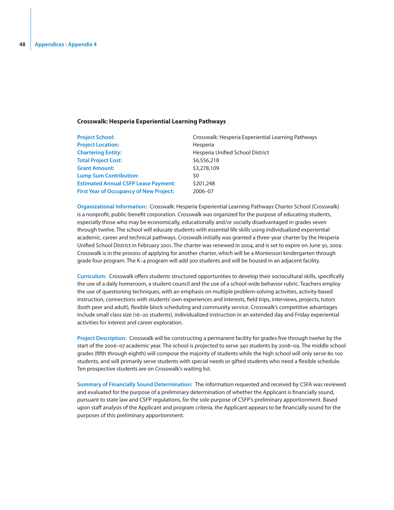#### **Crosswalk: Hesperia Experiential Learning Pathways**

| <b>Project School:</b>                         | Crosswalk: Hesperia Experiential Learning Pathways |
|------------------------------------------------|----------------------------------------------------|
| <b>Project Location:</b>                       | Hesperia                                           |
| <b>Chartering Entity:</b>                      | Hesperia Unified School District                   |
| <b>Total Project Cost:</b>                     | \$6,556,218                                        |
| <b>Grant Amount:</b>                           | \$3,278,109                                        |
| <b>Lump Sum Contribution:</b>                  | \$0                                                |
| <b>Estimated Annual CSFP Lease Payment:</b>    | \$201,248                                          |
| <b>First Year of Occupancy of New Project:</b> | 2006-07                                            |

**Organizational Information:** Crosswalk: Hesperia Experiential Learning Pathways Charter School (Crosswalk) is a nonprofit, public-benefit corporation. Crosswalk was organized for the purpose of educating students, especially those who may be economically, educationally and/or socially disadvantaged in grades seven through twelve. The school will educate students with essential life skills using individualized experiential academic, career and technical pathways. Crosswalk initially was granted a three-year charter by the Hesperia Unified School District in February 2001. The charter was renewed in 2004, and is set to expire on June 30, 2009. Crosswalk is in the process of applying for another charter, which will be a Montessori kindergarten through grade four program. The K-4 program will add 300 students and will be housed in an adjacent facility.

**Curriculum:** Crosswalk offers students structured opportunities to develop their sociocultural skills, specifically the use of a daily homeroom, a student council and the use of a school-wide behavior rubric. Teachers employ the use of questioning techniques, with an emphasis on multiple problem-solving activities, activity-based instruction, connections with students' own experiences and interests, field trips, interviews, projects, tutors (both peer and adult), flexible block scheduling and community service. Crosswalk's competitive advantages include small class size (16-20 students), individualized instruction in an extended day and Friday experiential activities for interest and career exploration.

**Project Description:** Crosswalk will be constructing a permanent facility for grades five through twelve by the start of the 2006-07 academic year. The school is projected to serve 340 students by 2008-09. The middle school grades (fifth through eighth) will compose the majority of students while the high school will only serve 80 100 students, and will primarily serve students with special needs or gifted students who need a flexible schedule. Ten prospective students are on Crosswalk's waiting list.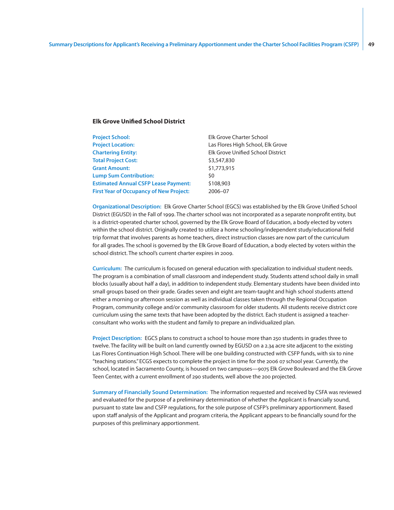### **Elk Grove Unified School District**

| <b>Project School:</b>                         | Elk Grove Charter School          |
|------------------------------------------------|-----------------------------------|
| <b>Project Location:</b>                       | Las Flores High School, Elk Grove |
| <b>Chartering Entity:</b>                      | Elk Grove Unified School District |
| <b>Total Project Cost:</b>                     | \$3,547,830                       |
| <b>Grant Amount:</b>                           | \$1,773,915                       |
| <b>Lump Sum Contribution:</b>                  | \$0                               |
| <b>Estimated Annual CSFP Lease Payment:</b>    | \$108,903                         |
| <b>First Year of Occupancy of New Project:</b> | 2006-07                           |
|                                                |                                   |

**Organizational Description:** Elk Grove Charter School (EGCS) was established by the Elk Grove Unified School District (EGUSD) in the Fall of 1999. The charter school was not incorporated as a separate nonprofit entity, but is a district-operated charter school, governed by the Elk Grove Board of Education, a body elected by voters within the school district. Originally created to utilize a home schooling/independent study/educational field trip format that involves parents as home teachers, direct instruction classes are now part of the curriculum for all grades. The school is governed by the Elk Grove Board of Education, a body elected by voters within the school district. The school's current charter expires in 2009.

**Curriculum:** The curriculum is focused on general education with specialization to individual student needs. The program is a combination of small classroom and independent study. Students attend school daily in small blocks (usually about half a day), in addition to independent study. Elementary students have been divided into small groups based on their grade. Grades seven and eight are team-taught and high school students attend either a morning or afternoon session as well as individual classes taken through the Regional Occupation Program, community college and/or community classroom for older students. All students receive district core curriculum using the same texts that have been adopted by the district. Each student is assigned a teacherconsultant who works with the student and family to prepare an individualized plan.

**Project Description:** EGCS plans to construct a school to house more than 250 students in grades three to twelve. The facility will be built on land currently owned by EGUSD on a 2.34 acre site adjacent to the existing Las Flores Continuation High School. There will be one building constructed with CSFP funds, with six to nine "teaching stations." ECGS expects to complete the project in time for the 2006 07 school year. Currently, the school, located in Sacramento County, is housed on two campuses—9075 Elk Grove Boulevard and the Elk Grove Teen Center, with a current enrollment of 290 students, well above the 200 projected.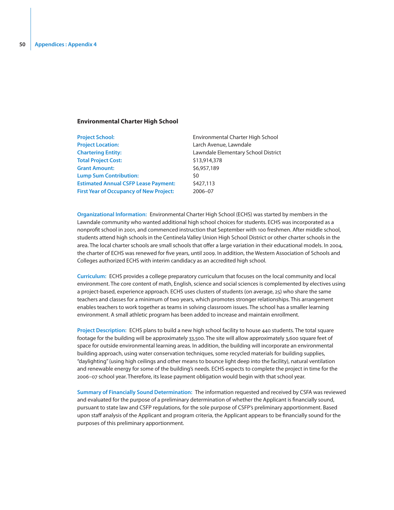#### **Environmental Charter High School**

| <b>Project School:</b>                         | Environmental Charter High School   |
|------------------------------------------------|-------------------------------------|
| <b>Project Location:</b>                       | Larch Avenue, Lawndale              |
| <b>Chartering Entity:</b>                      | Lawndale Elementary School District |
| <b>Total Project Cost:</b>                     | \$13,914,378                        |
| <b>Grant Amount:</b>                           | \$6,957,189                         |
| <b>Lump Sum Contribution:</b>                  | \$0                                 |
| <b>Estimated Annual CSFP Lease Payment:</b>    | \$427,113                           |
| <b>First Year of Occupancy of New Project:</b> | 2006-07                             |

**Organizational Information:** Environmental Charter High School (ECHS) was started by members in the Lawndale community who wanted additional high school choices for students. ECHS was incorporated as a nonprofit school in 2001, and commenced instruction that September with 100 freshmen. After middle school, students attend high schools in the Centinela Valley Union High School District or other charter schools in the area. The local charter schools are small schools that offer a large variation in their educational models. In 2004, the charter of ECHS was renewed for five years, until 2009. In addition, the Western Association of Schools and Colleges authorized ECHS with interim candidacy as an accredited high school.

**Curriculum:** ECHS provides a college preparatory curriculum that focuses on the local community and local environment. The core content of math, English, science and social sciences is complemented by electives using a project-based, experience approach. ECHS uses clusters of students (on average, 25) who share the same teachers and classes for a minimum of two years, which promotes stronger relationships. This arrangement enables teachers to work together as teams in solving classroom issues. The school has a smaller learning environment. A small athletic program has been added to increase and maintain enrollment.

Project Description: ECHS plans to build a new high school facility to house 440 students. The total square footage for the building will be approximately 33,500. The site will allow approximately 3,600 square feet of space for outside environmental learning areas. In addition, the building will incorporate an environmental building approach, using water conservation techniques, some recycled materials for building supplies, "daylighting" (using high ceilings and other means to bounce light deep into the facility), natural ventilation and renewable energy for some of the building's needs. ECHS expects to complete the project in time for the – school year. Therefore, its lease payment obligation would begin with that school year.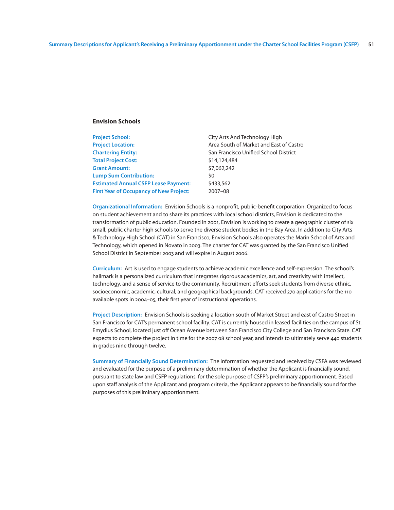#### **Envision Schools**

| <b>Project School:</b>                         | City Arts And Technology High           |
|------------------------------------------------|-----------------------------------------|
| <b>Project Location:</b>                       | Area South of Market and East of Castro |
| <b>Chartering Entity:</b>                      | San Francisco Unified School District   |
| <b>Total Project Cost:</b>                     | \$14,124,484                            |
| <b>Grant Amount:</b>                           | \$7,062,242                             |
| <b>Lump Sum Contribution:</b>                  | \$0                                     |
| <b>Estimated Annual CSFP Lease Payment:</b>    | \$433,562                               |
| <b>First Year of Occupancy of New Project:</b> | $2007 - 08$                             |

**Organizational Information:** Envision Schools is a nonprofit, public-benefit corporation. Organized to focus on student achievement and to share its practices with local school districts, Envision is dedicated to the transformation of public education. Founded in 2001, Envision is working to create a geographic cluster of six small, public charter high schools to serve the diverse student bodies in the Bay Area. In addition to City Arts & Technology High School (CAT) in San Francisco, Envision Schools also operates the Marin School of Arts and Technology, which opened in Novato in 2003. The charter for CAT was granted by the San Francisco Unified School District in September 2003 and will expire in August 2006.

**Curriculum:** Art is used to engage students to achieve academic excellence and self-expression. The school's hallmark is a personalized curriculum that integrates rigorous academics, art, and creativity with intellect, technology, and a sense of service to the community. Recruitment efforts seek students from diverse ethnic, socioeconomic, academic, cultural, and geographical backgrounds. CAT received 270 applications for the 110 available spots in 2004-05, their first year of instructional operations.

**Project Description:** Envision Schools is seeking a location south of Market Street and east of Castro Street in San Francisco for CAT's permanent school facility. CAT is currently housed in leased facilities on the campus of St. Emydius School, located just off Ocean Avenue between San Francisco City College and San Francisco State. CAT expects to complete the project in time for the 2007 08 school year, and intends to ultimately serve 440 students in grades nine through twelve.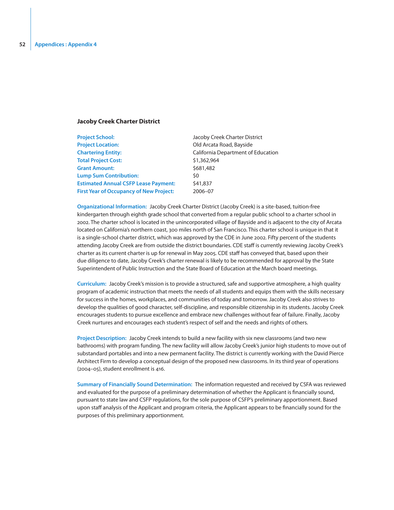#### **Jacoby Creek Charter District**

| <b>Project School:</b>                         | Jacoby Creek Charter District      |
|------------------------------------------------|------------------------------------|
| <b>Project Location:</b>                       | Old Arcata Road, Bayside           |
| <b>Chartering Entity:</b>                      | California Department of Education |
| <b>Total Project Cost:</b>                     | \$1,362,964                        |
| <b>Grant Amount:</b>                           | \$681,482                          |
| <b>Lump Sum Contribution:</b>                  | \$0                                |
| <b>Estimated Annual CSFP Lease Payment:</b>    | \$41,837                           |
| <b>First Year of Occupancy of New Project:</b> | 2006-07                            |
|                                                |                                    |

**Organizational Information:** Jacoby Creek Charter District (Jacoby Creek) is a site-based, tuition-free kindergarten through eighth grade school that converted from a regular public school to a charter school in . The charter school is located in the unincorporated village of Bayside and is adjacent to the city of Arcata located on California's northern coast, 300 miles north of San Francisco. This charter school is unique in that it is a single-school charter district, which was approved by the CDE in June 2002. Fifty percent of the students attending Jacoby Creek are from outside the district boundaries. CDE staff is currently reviewing Jacoby Creek's charter as its current charter is up for renewal in May 2005. CDE staff has conveyed that, based upon their due diligence to date, Jacoby Creek's charter renewal is likely to be recommended for approval by the State Superintendent of Public Instruction and the State Board of Education at the March board meetings.

**Curriculum:** Jacoby Creek's mission is to provide a structured, safe and supportive atmosphere, a high quality program of academic instruction that meets the needs of all students and equips them with the skills necessary for success in the homes, workplaces, and communities of today and tomorrow. Jacoby Creek also strives to develop the qualities of good character, self-discipline, and responsible citizenship in its students. Jacoby Creek encourages students to pursue excellence and embrace new challenges without fear of failure. Finally, Jacoby Creek nurtures and encourages each student's respect of self and the needs and rights of others.

**Project Description:** Jacoby Creek intends to build a new facility with six new classrooms (and two new bathrooms) with program funding. The new facility will allow Jacoby Creek's junior high students to move out of substandard portables and into a new permanent facility. The district is currently working with the David Pierce Architect Firm to develop a conceptual design of the proposed new classrooms. In its third year of operations  $(2004-05)$ , student enrollment is 416.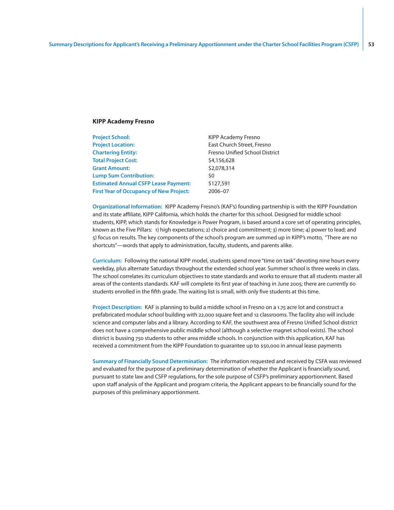#### **KIPP Academy Fresno**

| <b>Project School:</b>                         | <b>KIPP Academy Fresno</b>            |
|------------------------------------------------|---------------------------------------|
| <b>Project Location:</b>                       | East Church Street, Fresno            |
| <b>Chartering Entity:</b>                      | <b>Fresno Unified School District</b> |
| <b>Total Project Cost:</b>                     | \$4,156,628                           |
| <b>Grant Amount:</b>                           | \$2,078,314                           |
| <b>Lump Sum Contribution:</b>                  | \$0                                   |
| <b>Estimated Annual CSFP Lease Payment:</b>    | \$127,591                             |
| <b>First Year of Occupancy of New Project:</b> | 2006-07                               |
|                                                |                                       |

**Organizational Information:** KIPP Academy Fresno's (KAF's) founding partnership is with the KIPP Foundation and its state affiliate, KIPP California, which holds the charter for this school. Designed for middle school students, KIPP, which stands for Knowledge is Power Program, is based around a core set of operating principles, known as the Five Pillars: 1) high expectations; 2) choice and commitment; 3) more time; 4) power to lead; and ) focus on results. The key components of the school's program are summed up in KIPP's motto, "There are no shortcuts"—words that apply to administration, faculty, students, and parents alike.

**Curriculum:** Following the national KIPP model, students spend more "time on task" devoting nine hours every weekday, plus alternate Saturdays throughout the extended school year. Summer school is three weeks in class. The school correlates its curriculum objectives to state standards and works to ensure that all students master all areas of the contents standards. KAF will complete its first year of teaching in June 2005; there are currently 60 students enrolled in the fifth grade. The waiting list is small, with only five students at this time.

Project Description: KAF is planning to build a middle school in Fresno on a 1.75 acre lot and construct a prefabricated modular school building with 22,000 square feet and 12 classrooms. The facility also will include science and computer labs and a library. According to KAF, the southwest area of Fresno Unified School district does not have a comprehensive public middle school (although a selective magnet school exists). The school district is bussing 750 students to other area middle schools. In conjunction with this application, KAF has received a commitment from the KIPP Foundation to guarantee up to \$50,000 in annual lease payments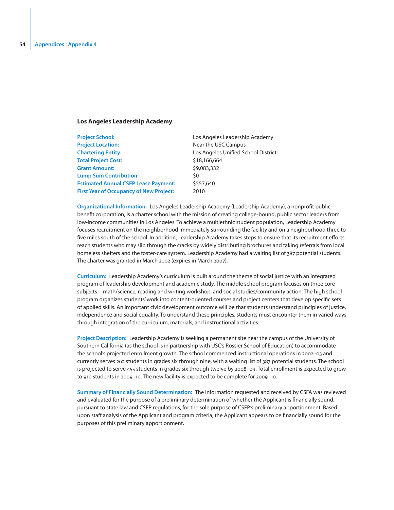#### **Los Angeles Leadership Academy**

| Los Angeles Leadership Academy      |
|-------------------------------------|
| Near the USC Campus                 |
| Los Angeles Unified School District |
| \$18,166,664                        |
| \$9,083,332                         |
| \$0                                 |
| \$557,640                           |
| 2010                                |
|                                     |

**Organizational Information:** Los Angeles Leadership Academy (Leadership Academy), a nonprofit publicbenefit corporation, is a charter school with the mission of creating college-bound, public sector leaders from low-income communities in Los Angeles. To achieve a multiethnic student population, Leadership Academy focuses recruitment on the neighborhood immediately surrounding the facility and on a neighborhood three to five miles south of the school. In addition, Leadership Academy takes steps to ensure that its recruitment efforts reach students who may slip through the cracks by widely distributing brochures and taking referrals from local homeless shelters and the foster-care system. Leadership Academy had a waiting list of 387 potential students. The charter was granted in March 2002 (expires in March 2007).

**Curriculum:** Leadership Academy's curriculum is built around the theme of social justice with an integrated program of leadership development and academic study. The middle school program focuses on three core subjects—math/science, reading and writing workshop, and social studies/community action. The high school program organizes students' work into content-oriented courses and project centers that develop specific sets of applied skills. An important civic development outcome will be that students understand principles of justice, independence and social equality. To understand these principles, students must encounter them in varied ways through integration of the curriculum, materials, and instructional activities.

**Project Description:** Leadership Academy is seeking a permanent site near the campus of the University of Southern California (as the school is in partnership with USC's Rossier School of Education) to accommodate the school's projected enrollment growth. The school commenced instructional operations in 2002-03 and currently serves 262 students in grades six through nine, with a waiting list of 387 potential students. The school is projected to serve 455 students in grades six through twelve by 2008-09. Total enrollment is expected to grow to 910 students in 2009-10. The new facility is expected to be complete for 2009-10.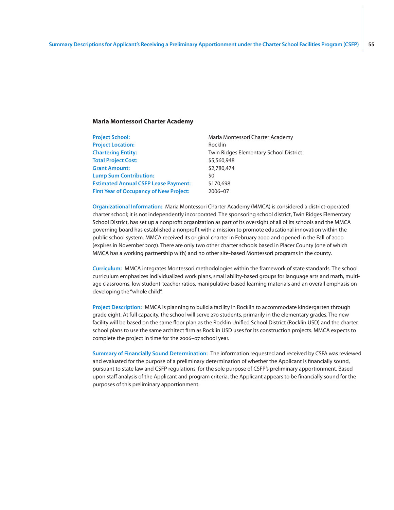#### **Maria Montessori Charter Academy**

| <b>Project School:</b>                         | Maria Montessori Charter Academy       |
|------------------------------------------------|----------------------------------------|
| <b>Project Location:</b>                       | Rocklin                                |
| <b>Chartering Entity:</b>                      | Twin Ridges Elementary School District |
| <b>Total Project Cost:</b>                     | \$5,560,948                            |
| <b>Grant Amount:</b>                           | \$2,780,474                            |
| <b>Lump Sum Contribution:</b>                  | \$0                                    |
| <b>Estimated Annual CSFP Lease Payment:</b>    | \$170,698                              |
| <b>First Year of Occupancy of New Project:</b> | 2006-07                                |
|                                                |                                        |

**Organizational Information:** Maria Montessori Charter Academy (MMCA) is considered a district-operated charter school; it is not independently incorporated. The sponsoring school district, Twin Ridges Elementary School District, has set up a nonprofit organization as part of its oversight of all of its schools and the MMCA governing board has established a nonprofit with a mission to promote educational innovation within the public school system. MMCA received its original charter in February 2000 and opened in the Fall of 2000 (expires in November 2007). There are only two other charter schools based in Placer County (one of which MMCA has a working partnership with) and no other site-based Montessori programs in the county.

**Curriculum:** MMCA integrates Montessori methodologies within the framework of state standards. The school curriculum emphasizes individualized work plans, small ability-based groups for language arts and math, multiage classrooms, low student-teacher ratios, manipulative-based learning materials and an overall emphasis on developing the "whole child".

**Project Description:** MMCA is planning to build a facility in Rocklin to accommodate kindergarten through grade eight. At full capacity, the school will serve 270 students, primarily in the elementary grades. The new facility will be based on the same floor plan as the Rocklin Unified School District (Rocklin USD) and the charter school plans to use the same architect firm as Rocklin USD uses for its construction projects. MMCA expects to complete the project in time for the 2006-07 school year.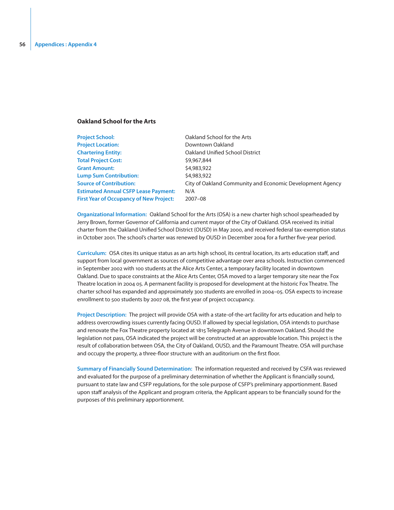#### **Oakland School for the Arts**

| <b>Project School:</b>                         | Oakland School for the Arts                               |
|------------------------------------------------|-----------------------------------------------------------|
| <b>Project Location:</b>                       | Downtown Oakland                                          |
| <b>Chartering Entity:</b>                      | Oakland Unified School District                           |
| <b>Total Project Cost:</b>                     | \$9,967,844                                               |
| <b>Grant Amount:</b>                           | \$4,983,922                                               |
| <b>Lump Sum Contribution:</b>                  | \$4,983,922                                               |
| <b>Source of Contribution:</b>                 | City of Oakland Community and Economic Development Agency |
| <b>Estimated Annual CSFP Lease Payment:</b>    | N/A                                                       |
| <b>First Year of Occupancy of New Project:</b> | $2007 - 08$                                               |
|                                                |                                                           |

**Organizational Information:** Oakland School for the Arts (OSA) is a new charter high school spearheaded by Jerry Brown, former Governor of California and current mayor of the City of Oakland. OSA received its initial charter from the Oakland Unified School District (OUSD) in May 2000, and received federal tax-exemption status in October 2001. The school's charter was renewed by OUSD in December 2004 for a further five-year period.

**Curriculum:** OSA cites its unique status as an arts high school, its central location, its arts education staff, and support from local government as sources of competitive advantage over area schools. Instruction commenced in September 2002 with 100 students at the Alice Arts Center, a temporary facility located in downtown Oakland. Due to space constraints at the Alice Arts Center, OSA moved to a larger temporary site near the Fox Theatre location in 2004 05. A permanent facility is proposed for development at the historic Fox Theatre. The charter school has expanded and approximately 300 students are enrolled in 2004-05. OSA expects to increase enrollment to 500 students by 2007 08, the first year of project occupancy.

**Project Description:** The project will provide OSA with a state-of-the-art facility for arts education and help to address overcrowding issues currently facing OUSD. If allowed by special legislation, OSA intends to purchase and renovate the Fox Theatre property located at 1815 Telegraph Avenue in downtown Oakland. Should the legislation not pass, OSA indicated the project will be constructed at an approvable location. This project is the result of collaboration between OSA, the City of Oakland, OUSD, and the Paramount Theatre. OSA will purchase and occupy the property, a three-floor structure with an auditorium on the first floor.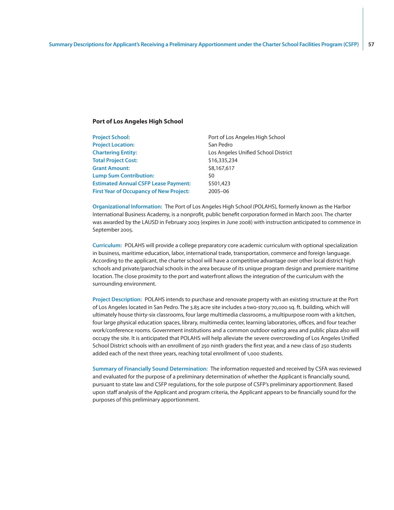#### **Port of Los Angeles High School**

| <b>Project School:</b>                         | Port of Los Angeles High School     |
|------------------------------------------------|-------------------------------------|
| <b>Project Location:</b>                       | San Pedro                           |
| <b>Chartering Entity:</b>                      | Los Angeles Unified School District |
| <b>Total Project Cost:</b>                     | \$16,335,234                        |
| <b>Grant Amount:</b>                           | \$8,167,617                         |
| <b>Lump Sum Contribution:</b>                  | \$0                                 |
| <b>Estimated Annual CSFP Lease Payment:</b>    | \$501,423                           |
| <b>First Year of Occupancy of New Project:</b> | $2005 - 06$                         |
|                                                |                                     |

**Organizational Information:** The Port of Los Angeles High School (POLAHS), formerly known as the Harbor International Business Academy, is a nonprofit, public benefit corporation formed in March 2001. The charter was awarded by the LAUSD in February 2003 (expires in June 2008) with instruction anticipated to commence in September 2005.

**Curriculum:** POLAHS will provide a college preparatory core academic curriculum with optional specialization in business, maritime education, labor, international trade, transportation, commerce and foreign language. According to the applicant, the charter school will have a competitive advantage over other local district high schools and private/parochial schools in the area because of its unique program design and premiere maritime location. The close proximity to the port and waterfront allows the integration of the curriculum with the surrounding environment.

**Project Description:** POLAHS intends to purchase and renovate property with an existing structure at the Port of Los Angeles located in San Pedro. The 3.85 acre site includes a two-story 70,000 sq. ft. building, which will ultimately house thirty-six classrooms, four large multimedia classrooms, a multipurpose room with a kitchen, four large physical education spaces, library, multimedia center, learning laboratories, offices, and four teacher work/conference rooms. Government institutions and a common outdoor eating area and public plaza also will occupy the site. It is anticipated that POLAHS will help alleviate the severe overcrowding of Los Angeles Unified School District schools with an enrollment of 250 ninth graders the first year, and a new class of 250 students added each of the next three years, reaching total enrollment of 1,000 students.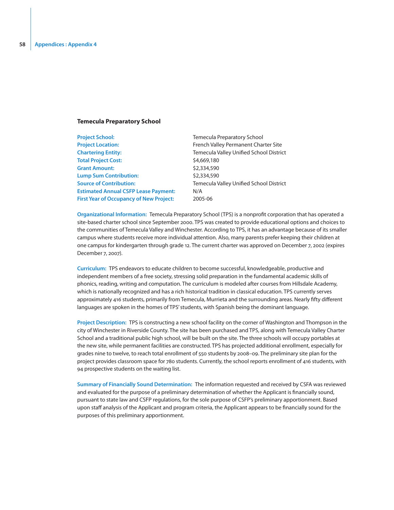#### **Temecula Preparatory School**

| <b>Project School:</b>                         | Temecula Preparatory School             |
|------------------------------------------------|-----------------------------------------|
| <b>Project Location:</b>                       | French Valley Permanent Charter Site    |
| <b>Chartering Entity:</b>                      | Temecula Valley Unified School District |
| <b>Total Project Cost:</b>                     | \$4,669,180                             |
| <b>Grant Amount:</b>                           | \$2,334,590                             |
| <b>Lump Sum Contribution:</b>                  | \$2,334,590                             |
| <b>Source of Contribution:</b>                 | Temecula Valley Unified School District |
| <b>Estimated Annual CSFP Lease Payment:</b>    | N/A                                     |
| <b>First Year of Occupancy of New Project:</b> | 2005-06                                 |

**Organizational Information:** Temecula Preparatory School (TPS) is a nonprofit corporation that has operated a site-based charter school since September 2000. TPS was created to provide educational options and choices to the communities of Temecula Valley and Winchester. According to TPS, it has an advantage because of its smaller campus where students receive more individual attention. Also, many parents prefer keeping their children at one campus for kindergarten through grade 12. The current charter was approved on December 7, 2002 (expires December 7, 2007).

**Curriculum:** TPS endeavors to educate children to become successful, knowledgeable, productive and independent members of a free society, stressing solid preparation in the fundamental academic skills of phonics, reading, writing and computation. The curriculum is modeled after courses from Hillsdale Academy, which is nationally recognized and has a rich historical tradition in classical education. TPS currently serves approximately 416 students, primarily from Temecula, Murrieta and the surrounding areas. Nearly fifty different languages are spoken in the homes of TPS' students, with Spanish being the dominant language.

**Project Description:** TPS is constructing a new school facility on the corner of Washington and Thompson in the city of Winchester in Riverside County. The site has been purchased and TPS, along with Temecula Valley Charter School and a traditional public high school, will be built on the site. The three schools will occupy portables at the new site, while permanent facilities are constructed. TPS has projected additional enrollment, especially for grades nine to twelve, to reach total enrollment of 550 students by 2008-09. The preliminary site plan for the project provides classroom space for 780 students. Currently, the school reports enrollment of 416 students, with 94 prospective students on the waiting list.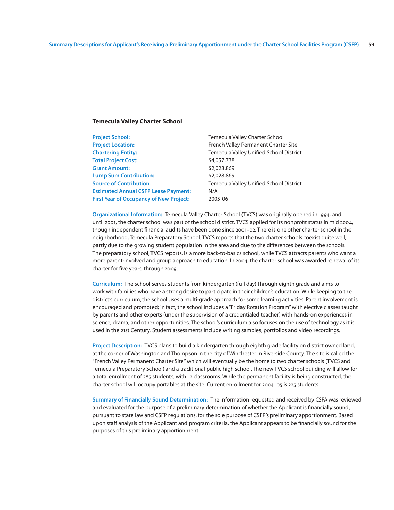### **Temecula Valley Charter School**

| <b>Project School:</b>                         | Temecula Valley Charter School          |
|------------------------------------------------|-----------------------------------------|
| <b>Project Location:</b>                       | French Valley Permanent Charter Site    |
| <b>Chartering Entity:</b>                      | Temecula Valley Unified School District |
| <b>Total Project Cost:</b>                     | \$4,057,738                             |
| <b>Grant Amount:</b>                           | \$2,028,869                             |
| <b>Lump Sum Contribution:</b>                  | \$2,028,869                             |
| <b>Source of Contribution:</b>                 | Temecula Valley Unified School District |
| <b>Estimated Annual CSFP Lease Payment:</b>    | N/A                                     |
| <b>First Year of Occupancy of New Project:</b> | 2005-06                                 |
|                                                |                                         |

**Organizational Information: Temecula Valley Charter School (TVCS) was originally opened in 1994, and** until 2001, the charter school was part of the school district. TVCS applied for its nonprofit status in mid 2004, though independent financial audits have been done since 2001-02. There is one other charter school in the neighborhood, Temecula Preparatory School. TVCS reports that the two charter schools coexist quite well, partly due to the growing student population in the area and due to the differences between the schools. The preparatory school, TVCS reports, is a more back-to-basics school, while TVCS attracts parents who want a more parent-involved and group approach to education. In 2004, the charter school was awarded renewal of its charter for five years, through 2009.

**Curriculum:** The school serves students from kindergarten (full day) through eighth grade and aims to work with families who have a strong desire to participate in their children's education. While keeping to the district's curriculum, the school uses a multi-grade approach for some learning activities. Parent involvement is encouraged and promoted; in fact, the school includes a "Friday Rotation Program" with elective classes taught by parents and other experts (under the supervision of a credentialed teacher) with hands-on experiences in science, drama, and other opportunities. The school's curriculum also focuses on the use of technology as it is used in the 21st Century. Student assessments include writing samples, portfolios and video recordings.

**Project Description:** TVCS plans to build a kindergarten through eighth grade facility on district owned land, at the corner of Washington and Thompson in the city of Winchester in Riverside County. The site is called the "French Valley Permanent Charter Site." which will eventually be the home to two charter schools (TVCS and Temecula Preparatory School) and a traditional public high school. The new TVCS school building will allow for a total enrollment of 285 students, with 12 classrooms. While the permanent facility is being constructed, the charter school will occupy portables at the site. Current enrollment for 2004-05 is 225 students.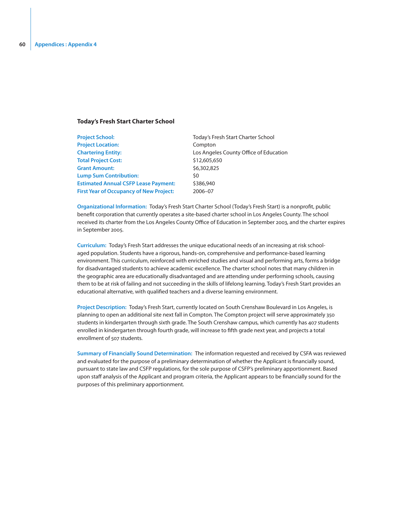### **Today's Fresh Start Charter School**

| <b>Project School:</b>                         | Today's Fresh Start Charter School     |
|------------------------------------------------|----------------------------------------|
| <b>Project Location:</b>                       | Compton                                |
| <b>Chartering Entity:</b>                      | Los Angeles County Office of Education |
| <b>Total Project Cost:</b>                     | \$12,605,650                           |
| <b>Grant Amount:</b>                           | \$6,302,825                            |
| <b>Lump Sum Contribution:</b>                  | S0                                     |
| <b>Estimated Annual CSFP Lease Payment:</b>    | \$386,940                              |
| <b>First Year of Occupancy of New Project:</b> | 2006-07                                |

**Organizational Information:** Today's Fresh Start Charter School (Today's Fresh Start) is a nonprofit, public benefit corporation that currently operates a site-based charter school in Los Angeles County. The school received its charter from the Los Angeles County Office of Education in September 2003, and the charter expires in September 2005.

**Curriculum:** Today's Fresh Start addresses the unique educational needs of an increasing at risk schoolaged population. Students have a rigorous, hands-on, comprehensive and performance-based learning environment. This curriculum, reinforced with enriched studies and visual and performing arts, forms a bridge for disadvantaged students to achieve academic excellence. The charter school notes that many children in the geographic area are educationally disadvantaged and are attending under performing schools, causing them to be at risk of failing and not succeeding in the skills of lifelong learning. Today's Fresh Start provides an educational alternative, with qualified teachers and a diverse learning environment.

**Project Description:** Today's Fresh Start, currently located on South Crenshaw Boulevard in Los Angeles, is planning to open an additional site next fall in Compton. The Compton project will serve approximately 350 students in kindergarten through sixth grade. The South Crenshaw campus, which currently has 407 students enrolled in kindergarten through fourth grade, will increase to fifth grade next year, and projects a total enrollment of 507 students.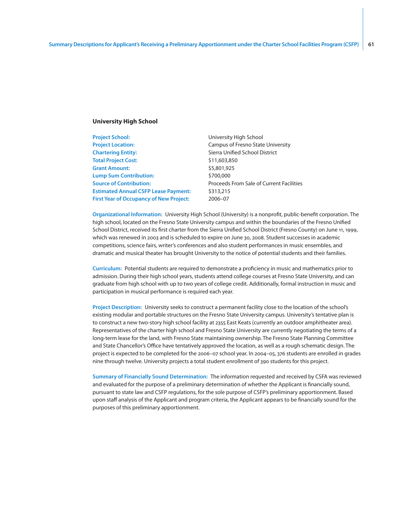#### **University High School**

| <b>Project School:</b>                         | University High School                   |
|------------------------------------------------|------------------------------------------|
| <b>Project Location:</b>                       | Campus of Fresno State University        |
| <b>Chartering Entity:</b>                      | Sierra Unified School District           |
| <b>Total Project Cost:</b>                     | \$11,603,850                             |
| <b>Grant Amount:</b>                           | \$5,801,925                              |
| <b>Lump Sum Contribution:</b>                  | \$700,000                                |
| <b>Source of Contribution:</b>                 | Proceeds From Sale of Current Facilities |
| <b>Estimated Annual CSFP Lease Payment:</b>    | \$313,215                                |
| <b>First Year of Occupancy of New Project:</b> | 2006-07                                  |
|                                                |                                          |

**Organizational Information:** University High School (University) is a nonprofit, public-benefit corporation. The high school, located on the Fresno State University campus and within the boundaries of the Fresno Unified School District, received its first charter from the Sierra Unified School District (Fresno County) on June 11, 1999, which was renewed in 2003 and is scheduled to expire on June 30, 2008. Student successes in academic competitions, science fairs, writer's conferences and also student performances in music ensembles, and dramatic and musical theater has brought University to the notice of potential students and their families.

**Curriculum:** Potential students are required to demonstrate a proficiency in music and mathematics prior to admission. During their high school years, students attend college courses at Fresno State University, and can graduate from high school with up to two years of college credit. Additionally, formal instruction in music and participation in musical performance is required each year.

**Project Description:** University seeks to construct a permanent facility close to the location of the school's existing modular and portable structures on the Fresno State University campus. University's tentative plan is to construct a new two-story high school facility at 2355 East Keats (currently an outdoor amphitheater area). Representatives of the charter high school and Fresno State University are currently negotiating the terms of a long-term lease for the land, with Fresno State maintaining ownership. The Fresno State Planning Committee and State Chancellor's Office have tentatively approved the location, as well as a rough schematic design. The project is expected to be completed for the 2006-07 school year. In 2004-05, 376 students are enrolled in grades nine through twelve. University projects a total student enrollment of 390 students for this project.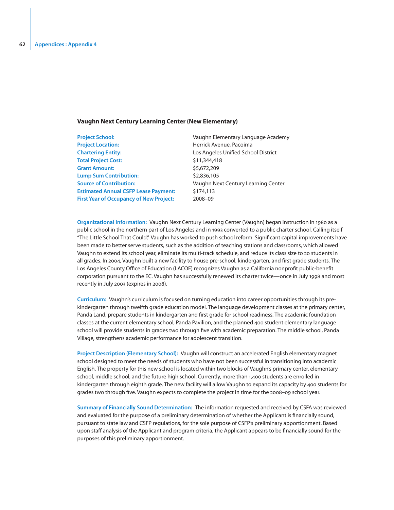### **Vaughn Next Century Learning Center (New Elementary)**

| <b>Project School:</b>                         | Vaughn Elementary Language Academy  |
|------------------------------------------------|-------------------------------------|
| <b>Project Location:</b>                       | Herrick Avenue, Pacoima             |
| <b>Chartering Entity:</b>                      | Los Angeles Unified School District |
| <b>Total Project Cost:</b>                     | \$11,344,418                        |
| <b>Grant Amount:</b>                           | \$5,672,209                         |
| <b>Lump Sum Contribution:</b>                  | \$2,836,105                         |
| <b>Source of Contribution:</b>                 | Vaughn Next Century Learning Center |
| <b>Estimated Annual CSFP Lease Payment:</b>    | \$174,113                           |
| <b>First Year of Occupancy of New Project:</b> | 2008-09                             |

**Organizational Information: Vaughn Next Century Learning Center (Vaughn) began instruction in 1980 as a** public school in the northern part of Los Angeles and in 1993 converted to a public charter school. Calling itself "The Little School That Could," Vaughn has worked to push school reform. Significant capital improvements have been made to better serve students, such as the addition of teaching stations and classrooms, which allowed Vaughn to extend its school year, eliminate its multi-track schedule, and reduce its class size to 20 students in all grades. In 2004, Vaughn built a new facility to house pre-school, kindergarten, and first grade students. The Los Angeles County Office of Education (LACOE) recognizes Vaughn as a California nonprofit public-benefit corporation pursuant to the EC. Vaughn has successfully renewed its charter twice—once in July 1998 and most recently in July 2003 (expires in 2008).

**Curriculum:** Vaughn's curriculum is focused on turning education into career opportunities through its prekindergarten through twelfth grade education model. The language development classes at the primary center, Panda Land, prepare students in kindergarten and first grade for school readiness. The academic foundation classes at the current elementary school, Panda Pavilion, and the planned 400 student elementary language school will provide students in grades two through five with academic preparation. The middle school, Panda Village, strengthens academic performance for adolescent transition.

**Project Description (Elementary School):** Vaughn will construct an accelerated English elementary magnet school designed to meet the needs of students who have not been successful in transitioning into academic English. The property for this new school is located within two blocks of Vaughn's primary center, elementary school, middle school, and the future high school. Currently, more than 1,400 students are enrolled in kindergarten through eighth grade. The new facility will allow Vaughn to expand its capacity by 400 students for grades two through five. Vaughn expects to complete the project in time for the 2008-09 school year.